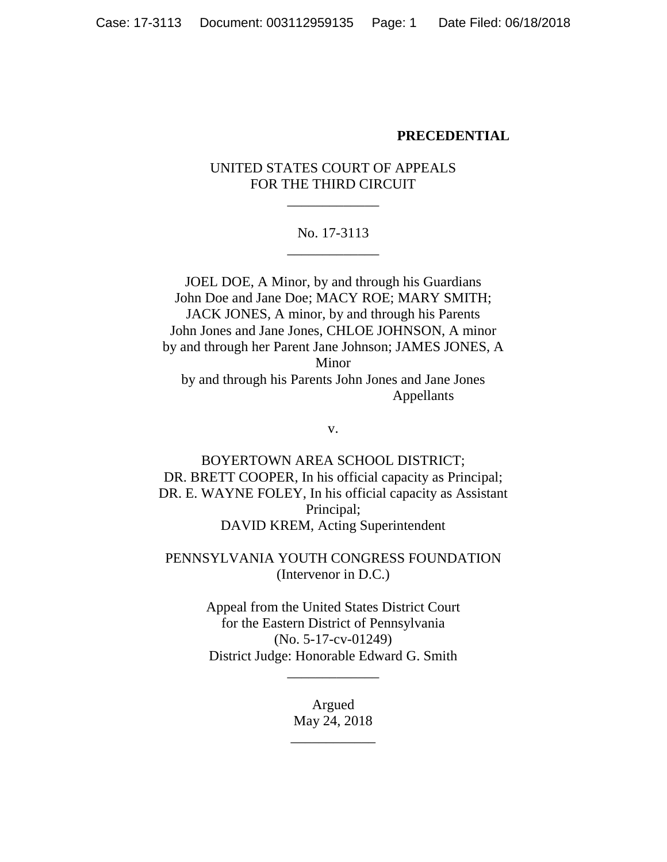#### **PRECEDENTIAL**

## UNITED STATES COURT OF APPEALS FOR THE THIRD CIRCUIT

\_\_\_\_\_\_\_\_\_\_\_\_\_

## No. 17-3113 \_\_\_\_\_\_\_\_\_\_\_\_\_

JOEL DOE, A Minor, by and through his Guardians John Doe and Jane Doe; MACY ROE; MARY SMITH; JACK JONES, A minor, by and through his Parents John Jones and Jane Jones, CHLOE JOHNSON, A minor by and through her Parent Jane Johnson; JAMES JONES, A Minor by and through his Parents John Jones and Jane Jones Appellants

v.

BOYERTOWN AREA SCHOOL DISTRICT; DR. BRETT COOPER, In his official capacity as Principal; DR. E. WAYNE FOLEY, In his official capacity as Assistant Principal; DAVID KREM, Acting Superintendent

PENNSYLVANIA YOUTH CONGRESS FOUNDATION (Intervenor in D.C.)

> Appeal from the United States District Court for the Eastern District of Pennsylvania (No. 5-17-cv-01249) District Judge: Honorable Edward G. Smith

> > \_\_\_\_\_\_\_\_\_\_\_\_\_

Argued May 24, 2018

\_\_\_\_\_\_\_\_\_\_\_\_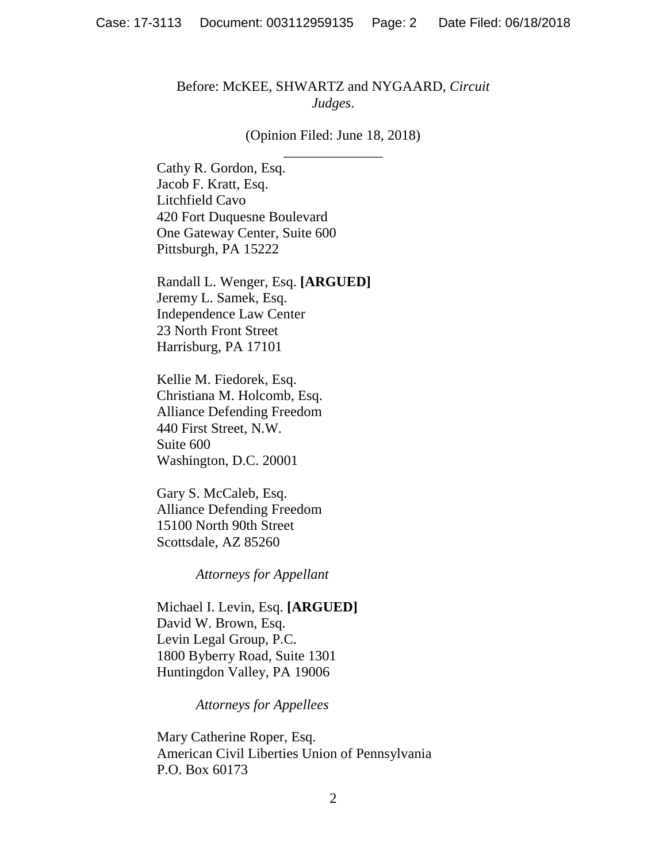### Before: McKEE, SHWARTZ and NYGAARD, *Circuit Judges*.

### (Opinion Filed: June 18, 2018) \_\_\_\_\_\_\_\_\_\_\_\_\_\_

Cathy R. Gordon, Esq. Jacob F. Kratt, Esq. Litchfield Cavo 420 Fort Duquesne Boulevard One Gateway Center, Suite 600 Pittsburgh, PA 15222

Randall L. Wenger, Esq. **[ARGUED]** Jeremy L. Samek, Esq. Independence Law Center 23 North Front Street Harrisburg, PA 17101

Kellie M. Fiedorek, Esq. Christiana M. Holcomb, Esq. Alliance Defending Freedom 440 First Street, N.W. Suite 600 Washington, D.C. 20001

Gary S. McCaleb, Esq. Alliance Defending Freedom 15100 North 90th Street Scottsdale, AZ 85260

*Attorneys for Appellant*

Michael I. Levin, Esq. **[ARGUED]** David W. Brown, Esq. Levin Legal Group, P.C. 1800 Byberry Road, Suite 1301 Huntingdon Valley, PA 19006

*Attorneys for Appellees*

Mary Catherine Roper, Esq. American Civil Liberties Union of Pennsylvania P.O. Box 60173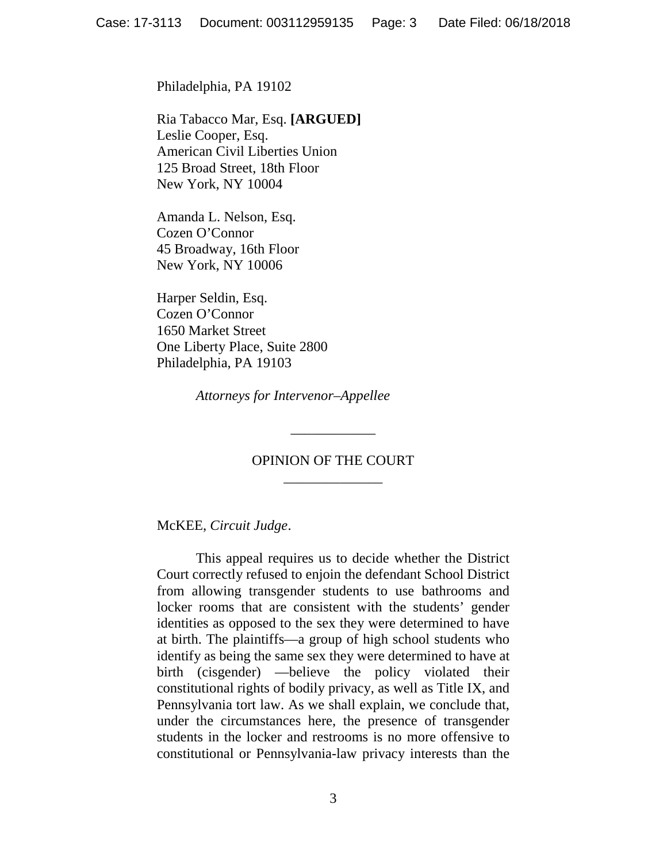Philadelphia, PA 19102

Ria Tabacco Mar, Esq. **[ARGUED]** Leslie Cooper, Esq. American Civil Liberties Union 125 Broad Street, 18th Floor New York, NY 10004

Amanda L. Nelson, Esq. Cozen O'Connor 45 Broadway, 16th Floor New York, NY 10006

Harper Seldin, Esq. Cozen O'Connor 1650 Market Street One Liberty Place, Suite 2800 Philadelphia, PA 19103

*Attorneys for Intervenor–Appellee*

# OPINION OF THE COURT \_\_\_\_\_\_\_\_\_\_\_\_\_\_

\_\_\_\_\_\_\_\_\_\_\_\_

McKEE, *Circuit Judge*.

This appeal requires us to decide whether the District Court correctly refused to enjoin the defendant School District from allowing transgender students to use bathrooms and locker rooms that are consistent with the students' gender identities as opposed to the sex they were determined to have at birth. The plaintiffs—a group of high school students who identify as being the same sex they were determined to have at birth (cisgender) —believe the policy violated their constitutional rights of bodily privacy, as well as Title IX, and Pennsylvania tort law. As we shall explain, we conclude that, under the circumstances here, the presence of transgender students in the locker and restrooms is no more offensive to constitutional or Pennsylvania-law privacy interests than the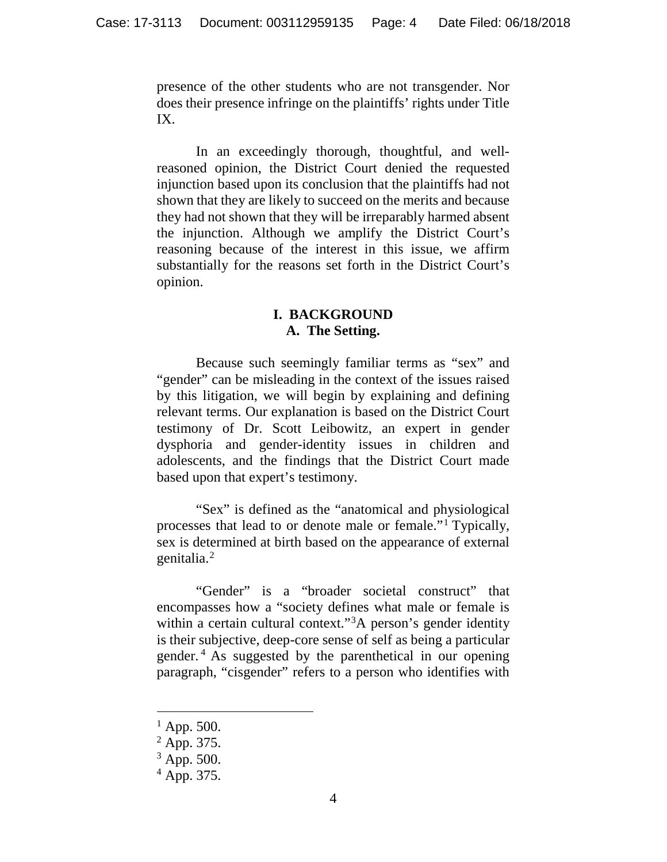presence of the other students who are not transgender. Nor does their presence infringe on the plaintiffs' rights under Title IX.

In an exceedingly thorough, thoughtful, and wellreasoned opinion, the District Court denied the requested injunction based upon its conclusion that the plaintiffs had not shown that they are likely to succeed on the merits and because they had not shown that they will be irreparably harmed absent the injunction. Although we amplify the District Court's reasoning because of the interest in this issue, we affirm substantially for the reasons set forth in the District Court's opinion.

# **I. BACKGROUND A. The Setting.**

Because such seemingly familiar terms as "sex" and "gender" can be misleading in the context of the issues raised by this litigation, we will begin by explaining and defining relevant terms. Our explanation is based on the District Court testimony of Dr. Scott Leibowitz, an expert in gender dysphoria and gender-identity issues in children and adolescents, and the findings that the District Court made based upon that expert's testimony.

"Sex" is defined as the "anatomical and physiological processes that lead to or denote male or female."[1](#page-3-0) Typically, sex is determined at birth based on the appearance of external genitalia.[2](#page-3-1)

"Gender" is a "broader societal construct" that encompasses how a "society defines what male or female is within a certain cultural context."<sup>[3](#page-3-2)</sup>A person's gender identity is their subjective, deep-core sense of self as being a particular gender. [4](#page-3-3) As suggested by the parenthetical in our opening paragraph, "cisgender" refers to a person who identifies with

 $1$  App. 500.

<span id="page-3-1"></span><span id="page-3-0"></span><sup>&</sup>lt;sup>2</sup> App. 375.

 $3$  App. 500.

<span id="page-3-3"></span><span id="page-3-2"></span> $^{4}$  App. 375.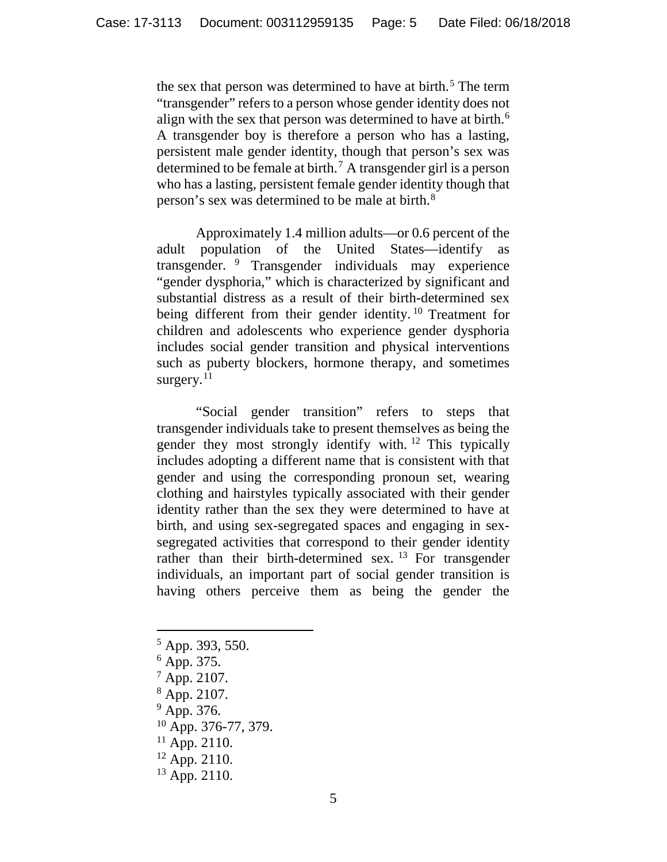the sex that person was determined to have at birth.<sup>[5](#page-4-0)</sup> The term "transgender" refers to a person whose gender identity does not align with the sex that person was determined to have at birth.<sup>[6](#page-4-1)</sup> A transgender boy is therefore a person who has a lasting, persistent male gender identity, though that person's sex was determined to be female at birth.[7](#page-4-2) A transgender girl is a person who has a lasting, persistent female gender identity though that person's sex was determined to be male at birth.[8](#page-4-3)

Approximately 1.4 million adults—or 0.6 percent of the adult population of the United States—identify as transgender. [9](#page-4-4) Transgender individuals may experience "gender dysphoria," which is characterized by significant and substantial distress as a result of their birth-determined sex being different from their gender identity.<sup>[10](#page-4-5)</sup> Treatment for children and adolescents who experience gender dysphoria includes social gender transition and physical interventions such as puberty blockers, hormone therapy, and sometimes surgery. $11$ 

"Social gender transition" refers to steps that transgender individuals take to present themselves as being the gender they most strongly identify with. [12](#page-4-7) This typically includes adopting a different name that is consistent with that gender and using the corresponding pronoun set, wearing clothing and hairstyles typically associated with their gender identity rather than the sex they were determined to have at birth, and using sex-segregated spaces and engaging in sexsegregated activities that correspond to their gender identity rather than their birth-determined sex.  $^{13}$  $^{13}$  $^{13}$  For transgender individuals, an important part of social gender transition is having others perceive them as being the gender the

- <span id="page-4-0"></span> $5$  App. 393, 550.
- <span id="page-4-1"></span> $6$  App. 375.
- <span id="page-4-2"></span><sup>7</sup> App. 2107.
- <span id="page-4-3"></span><sup>8</sup> App. 2107.
- <span id="page-4-5"></span><span id="page-4-4"></span><sup>9</sup> App. 376.
- $^{10}$  App. 376-77, 379.
- <span id="page-4-6"></span> $11$  App. 2110.
- <span id="page-4-7"></span> $12$  App. 2110.
- <span id="page-4-8"></span> $13$  App. 2110.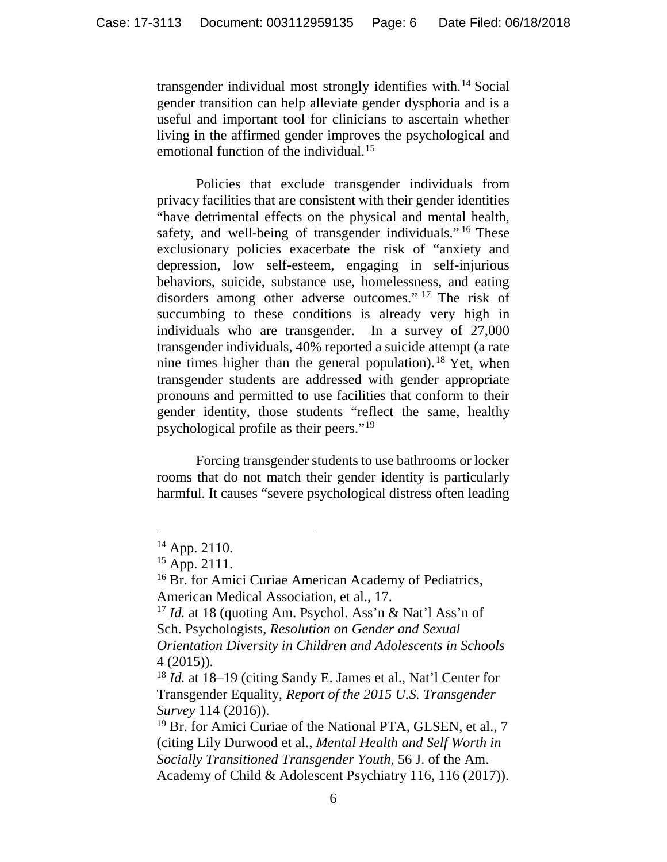transgender individual most strongly identifies with.[14](#page-5-0) Social gender transition can help alleviate gender dysphoria and is a useful and important tool for clinicians to ascertain whether living in the affirmed gender improves the psychological and emotional function of the individual.<sup>[15](#page-5-1)</sup>

Policies that exclude transgender individuals from privacy facilities that are consistent with their gender identities "have detrimental effects on the physical and mental health, safety, and well-being of transgender individuals."<sup>[16](#page-5-2)</sup> These exclusionary policies exacerbate the risk of "anxiety and depression, low self-esteem, engaging in self-injurious behaviors, suicide, substance use, homelessness, and eating disorders among other adverse outcomes." [17](#page-5-3) The risk of succumbing to these conditions is already very high in individuals who are transgender. In a survey of 27,000 transgender individuals, 40% reported a suicide attempt (a rate nine times higher than the general population).<sup>[18](#page-5-4)</sup> Yet, when transgender students are addressed with gender appropriate pronouns and permitted to use facilities that conform to their gender identity, those students "reflect the same, healthy psychological profile as their peers."[19](#page-5-5)

Forcing transgender students to use bathrooms or locker rooms that do not match their gender identity is particularly harmful. It causes "severe psychological distress often leading

 $14$  App. 2110.

<span id="page-5-2"></span><span id="page-5-1"></span><span id="page-5-0"></span><sup>15</sup> App. 2111.

<sup>&</sup>lt;sup>16</sup> Br. for Amici Curiae American Academy of Pediatrics, American Medical Association, et al., 17.

<span id="page-5-3"></span><sup>17</sup> *Id.* at 18 (quoting Am. Psychol. Ass'n & Nat'l Ass'n of Sch. Psychologists, *Resolution on Gender and Sexual Orientation Diversity in Children and Adolescents in Schools* 4 (2015)).

<span id="page-5-4"></span><sup>18</sup> *Id.* at 18–19 (citing Sandy E. James et al., Nat'l Center for Transgender Equality*, Report of the 2015 U.S. Transgender Survey* 114 (2016)).

<span id="page-5-5"></span><sup>&</sup>lt;sup>19</sup> Br. for Amici Curiae of the National PTA, GLSEN, et al., 7 (citing Lily Durwood et al., *Mental Health and Self Worth in Socially Transitioned Transgender Youth*, 56 J. of the Am. Academy of Child & Adolescent Psychiatry 116, 116 (2017)).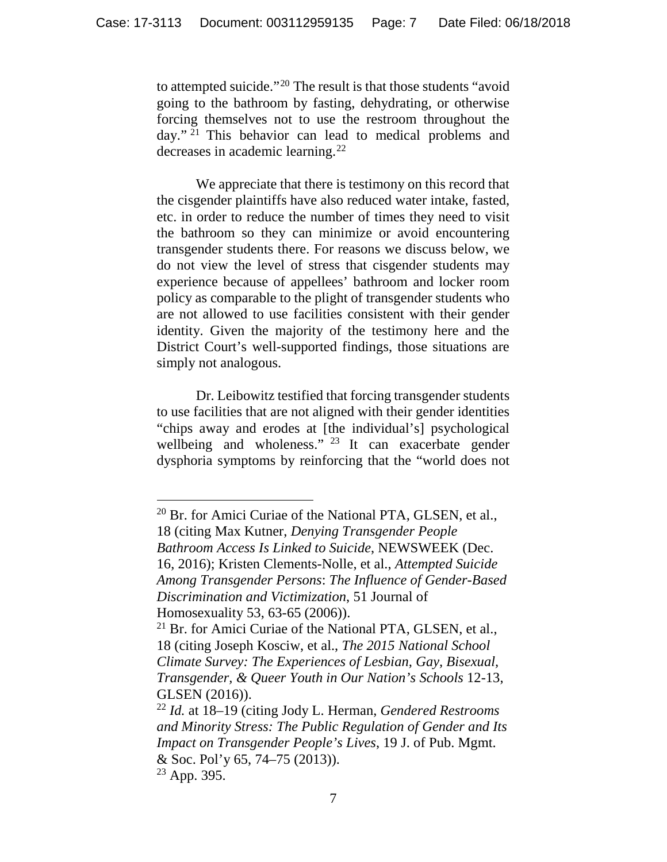to attempted suicide."[20](#page-6-0) The result is that those students "avoid going to the bathroom by fasting, dehydrating, or otherwise forcing themselves not to use the restroom throughout the day." [21](#page-6-1) This behavior can lead to medical problems and decreases in academic learning.[22](#page-6-2)

We appreciate that there is testimony on this record that the cisgender plaintiffs have also reduced water intake, fasted, etc. in order to reduce the number of times they need to visit the bathroom so they can minimize or avoid encountering transgender students there. For reasons we discuss below, we do not view the level of stress that cisgender students may experience because of appellees' bathroom and locker room policy as comparable to the plight of transgender students who are not allowed to use facilities consistent with their gender identity. Given the majority of the testimony here and the District Court's well-supported findings, those situations are simply not analogous.

Dr. Leibowitz testified that forcing transgender students to use facilities that are not aligned with their gender identities "chips away and erodes at [the individual's] psychological wellbeing and wholeness." <sup>[23](#page-6-3)</sup> It can exacerbate gender dysphoria symptoms by reinforcing that the "world does not

<span id="page-6-0"></span> $20$  Br. for Amici Curiae of the National PTA, GLSEN, et al., 18 (citing Max Kutner, *Denying Transgender People Bathroom Access Is Linked to Suicide*, NEWSWEEK (Dec. 16, 2016); Kristen Clements-Nolle, et al., *Attempted Suicide Among Transgender Persons*: *The Influence of Gender-Based Discrimination and Victimization*, 51 Journal of Homosexuality 53, 63-65 (2006)).

<span id="page-6-1"></span><sup>&</sup>lt;sup>21</sup> Br. for Amici Curiae of the National PTA, GLSEN, et al., 18 (citing Joseph Kosciw, et al., *The 2015 National School Climate Survey: The Experiences of Lesbian, Gay, Bisexual, Transgender, & Queer Youth in Our Nation's Schools* 12-13, GLSEN (2016)).

<span id="page-6-2"></span><sup>22</sup> *Id.* at 18–19 (citing Jody L. Herman, *Gendered Restrooms and Minority Stress: The Public Regulation of Gender and Its Impact on Transgender People's Lives*, 19 J. of Pub. Mgmt. & Soc. Pol'y 65, 74–75 (2013)).

<span id="page-6-3"></span> $23$  App. 395.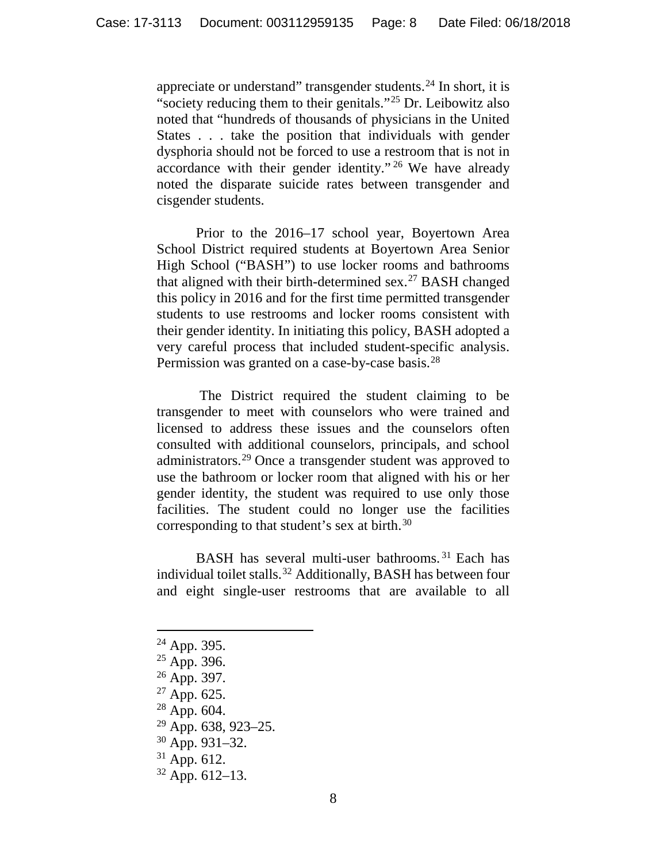appreciate or understand" transgender students.<sup>[24](#page-7-0)</sup> In short, it is "society reducing them to their genitals."<sup>[25](#page-7-1)</sup> Dr. Leibowitz also noted that "hundreds of thousands of physicians in the United States . . . take the position that individuals with gender dysphoria should not be forced to use a restroom that is not in accordance with their gender identity." [26](#page-7-2) We have already noted the disparate suicide rates between transgender and cisgender students.

Prior to the 2016–17 school year, Boyertown Area School District required students at Boyertown Area Senior High School ("BASH") to use locker rooms and bathrooms that aligned with their birth-determined  $sex.^{27}$  $sex.^{27}$  $sex.^{27}$  BASH changed this policy in 2016 and for the first time permitted transgender students to use restrooms and locker rooms consistent with their gender identity. In initiating this policy, BASH adopted a very careful process that included student-specific analysis. Permission was granted on a case-by-case basis.<sup>[28](#page-7-4)</sup>

The District required the student claiming to be transgender to meet with counselors who were trained and licensed to address these issues and the counselors often consulted with additional counselors, principals, and school administrators.[29](#page-7-5) Once a transgender student was approved to use the bathroom or locker room that aligned with his or her gender identity, the student was required to use only those facilities. The student could no longer use the facilities corresponding to that student's sex at birth.<sup>[30](#page-7-6)</sup>

BASH has several multi-user bathrooms. [31](#page-7-7) Each has individual toilet stalls.[32](#page-7-8) Additionally, BASH has between four and eight single-user restrooms that are available to all

- <span id="page-7-0"></span> $24$  App. 395.
- <span id="page-7-1"></span> $^{25}$  App. 396.
- <span id="page-7-2"></span><sup>26</sup> App. 397.
- <span id="page-7-3"></span><sup>27</sup> App. 625.
- <span id="page-7-4"></span><sup>28</sup> App. 604.
- <span id="page-7-6"></span><span id="page-7-5"></span> $^{29}$  App. 638, 923–25.<br><sup>30</sup> App. 931–32.
- 
- <span id="page-7-7"></span> $31$  App. 612.
- <span id="page-7-8"></span> $32$  App. 612–13.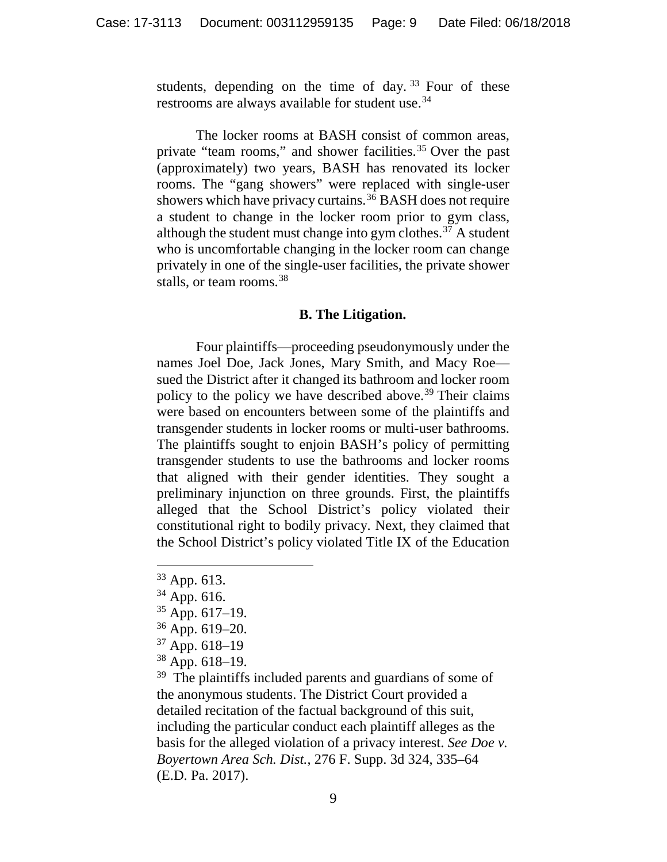students, depending on the time of day.<sup>[33](#page-8-0)</sup> Four of these restrooms are always available for student use.<sup>[34](#page-8-1)</sup>

The locker rooms at BASH consist of common areas, private "team rooms," and shower facilities.<sup>[35](#page-8-2)</sup> Over the past (approximately) two years, BASH has renovated its locker rooms. The "gang showers" were replaced with single-user showers which have privacy curtains.<sup>[36](#page-8-3)</sup> BASH does not require a student to change in the locker room prior to gym class, although the student must change into gym clothes. $37$  A student who is uncomfortable changing in the locker room can change privately in one of the single-user facilities, the private shower stalls, or team rooms.<sup>[38](#page-8-5)</sup>

#### **B. The Litigation.**

Four plaintiffs—proceeding pseudonymously under the names Joel Doe, Jack Jones, Mary Smith, and Macy Roe sued the District after it changed its bathroom and locker room policy to the policy we have described above.<sup>[39](#page-8-6)</sup> Their claims were based on encounters between some of the plaintiffs and transgender students in locker rooms or multi-user bathrooms. The plaintiffs sought to enjoin BASH's policy of permitting transgender students to use the bathrooms and locker rooms that aligned with their gender identities. They sought a preliminary injunction on three grounds. First, the plaintiffs alleged that the School District's policy violated their constitutional right to bodily privacy. Next, they claimed that the School District's policy violated Title IX of the Education

- <span id="page-8-1"></span> $34$  App. 616.
- <span id="page-8-2"></span> $35$  App. 617–19.
- <span id="page-8-3"></span> $36$  App. 619–20.
- <span id="page-8-4"></span> $37$  App. 618–19
- <span id="page-8-5"></span> $38$  App. 618–19.

<span id="page-8-6"></span><sup>39</sup> The plaintiffs included parents and guardians of some of the anonymous students. The District Court provided a detailed recitation of the factual background of this suit, including the particular conduct each plaintiff alleges as the basis for the alleged violation of a privacy interest. *See Doe v. Boyertown Area Sch. Dist.*, 276 F. Supp. 3d 324, 335–64 (E.D. Pa. 2017).

<span id="page-8-0"></span> <sup>33</sup> App. 613.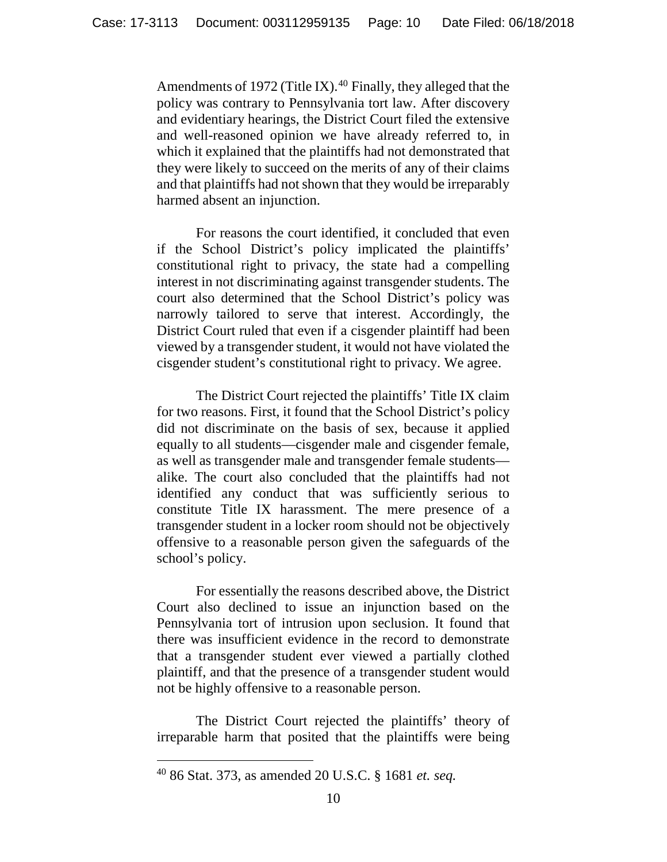Amendments of 1972 (Title IX).<sup>[40](#page-9-0)</sup> Finally, they alleged that the policy was contrary to Pennsylvania tort law. After discovery and evidentiary hearings, the District Court filed the extensive and well-reasoned opinion we have already referred to, in which it explained that the plaintiffs had not demonstrated that they were likely to succeed on the merits of any of their claims and that plaintiffs had not shown that they would be irreparably harmed absent an injunction.

For reasons the court identified, it concluded that even if the School District's policy implicated the plaintiffs' constitutional right to privacy, the state had a compelling interest in not discriminating against transgender students. The court also determined that the School District's policy was narrowly tailored to serve that interest. Accordingly, the District Court ruled that even if a cisgender plaintiff had been viewed by a transgender student, it would not have violated the cisgender student's constitutional right to privacy. We agree.

The District Court rejected the plaintiffs' Title IX claim for two reasons. First, it found that the School District's policy did not discriminate on the basis of sex, because it applied equally to all students—cisgender male and cisgender female, as well as transgender male and transgender female students alike. The court also concluded that the plaintiffs had not identified any conduct that was sufficiently serious to constitute Title IX harassment. The mere presence of a transgender student in a locker room should not be objectively offensive to a reasonable person given the safeguards of the school's policy.

For essentially the reasons described above, the District Court also declined to issue an injunction based on the Pennsylvania tort of intrusion upon seclusion. It found that there was insufficient evidence in the record to demonstrate that a transgender student ever viewed a partially clothed plaintiff, and that the presence of a transgender student would not be highly offensive to a reasonable person.

The District Court rejected the plaintiffs' theory of irreparable harm that posited that the plaintiffs were being

<span id="page-9-0"></span> <sup>40</sup> 86 Stat. 373, as amended 20 U.S.C. § <sup>1681</sup>*et. seq.*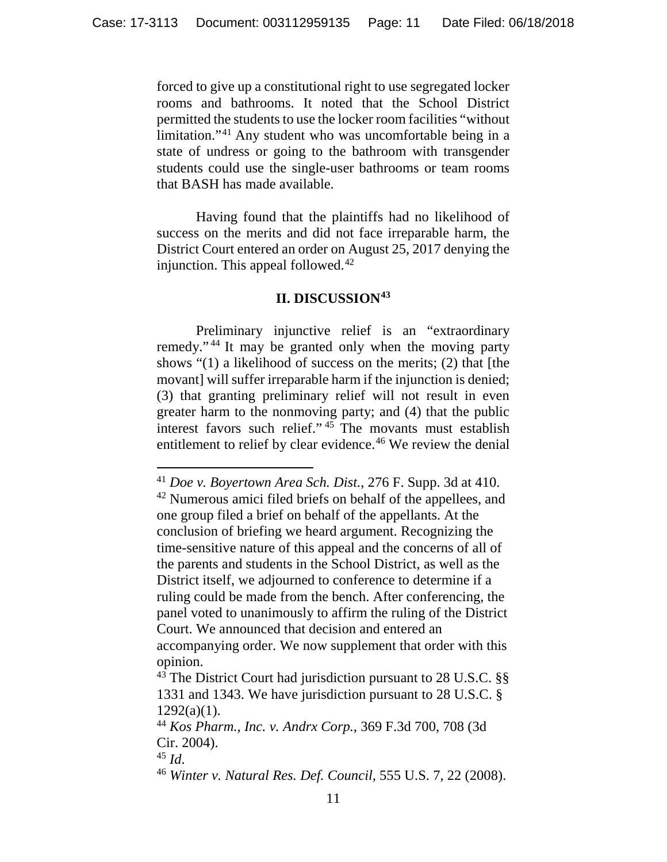forced to give up a constitutional right to use segregated locker rooms and bathrooms. It noted that the School District permitted the students to use the locker room facilities "without limitation."[41](#page-10-0) Any student who was uncomfortable being in a state of undress or going to the bathroom with transgender students could use the single-user bathrooms or team rooms that BASH has made available.

Having found that the plaintiffs had no likelihood of success on the merits and did not face irreparable harm, the District Court entered an order on August 25, 2017 denying the injunction. This appeal followed.<sup>[42](#page-10-1)</sup>

## **II. DISCUSSION[43](#page-10-2)**

Preliminary injunctive relief is an "extraordinary remedy." [44](#page-10-3) It may be granted only when the moving party shows "(1) a likelihood of success on the merits; (2) that [the movant] will suffer irreparable harm if the injunction is denied; (3) that granting preliminary relief will not result in even greater harm to the nonmoving party; and (4) that the public interest favors such relief." [45](#page-10-4) The movants must establish entitlement to relief by clear evidence.<sup>[46](#page-10-5)</sup> We review the denial

<span id="page-10-0"></span> <sup>41</sup> *Doe v. Boyertown Area Sch. Dist.*, 276 F. Supp. 3d at 410.

<span id="page-10-1"></span><sup>&</sup>lt;sup>42</sup> Numerous amici filed briefs on behalf of the appellees, and one group filed a brief on behalf of the appellants. At the conclusion of briefing we heard argument. Recognizing the time-sensitive nature of this appeal and the concerns of all of the parents and students in the School District, as well as the District itself, we adjourned to conference to determine if a ruling could be made from the bench. After conferencing, the panel voted to unanimously to affirm the ruling of the District Court. We announced that decision and entered an accompanying order. We now supplement that order with this opinion.

<span id="page-10-2"></span> $43$  The District Court had jurisdiction pursuant to 28 U.S.C. §§ 1331 and 1343. We have jurisdiction pursuant to 28 U.S.C. §  $1292(a)(1)$ .

<span id="page-10-3"></span><sup>44</sup> *Kos Pharm., Inc. v. Andrx Corp.*, 369 F.3d 700, 708 (3d Cir. 2004).

<span id="page-10-4"></span><sup>45</sup> *Id*.

<span id="page-10-5"></span><sup>46</sup> *Winter v. Natural Res. Def. Council,* 555 U.S. 7, 22 (2008).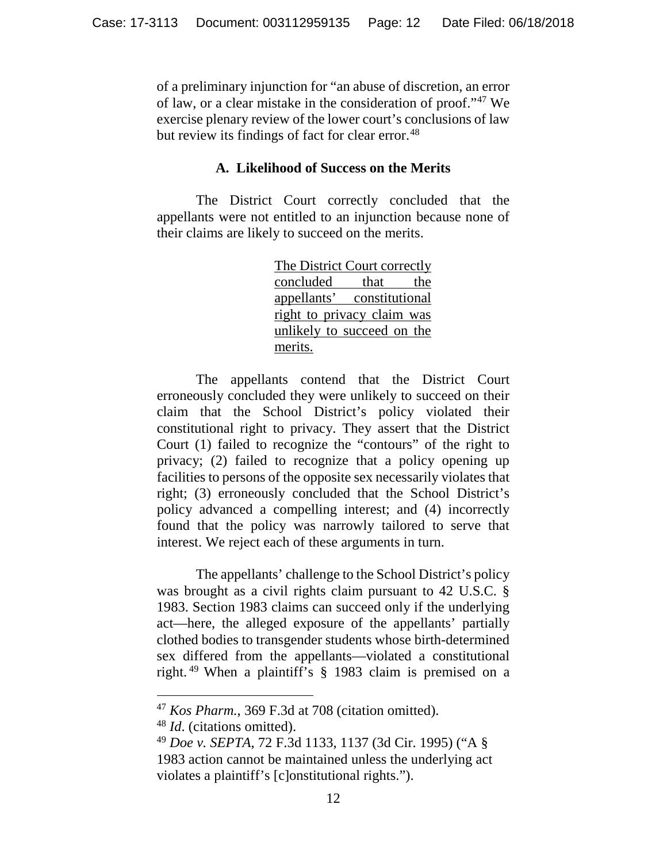of a preliminary injunction for "an abuse of discretion, an error of law, or a clear mistake in the consideration of proof."[47](#page-11-0) We exercise plenary review of the lower court's conclusions of law but review its findings of fact for clear error.<sup>[48](#page-11-1)</sup>

### **A. Likelihood of Success on the Merits**

The District Court correctly concluded that the appellants were not entitled to an injunction because none of their claims are likely to succeed on the merits.

> The District Court correctly concluded that the appellants' constitutional right to privacy claim was unlikely to succeed on the merits.

The appellants contend that the District Court erroneously concluded they were unlikely to succeed on their claim that the School District's policy violated their constitutional right to privacy. They assert that the District Court (1) failed to recognize the "contours" of the right to privacy; (2) failed to recognize that a policy opening up facilities to persons of the opposite sex necessarily violates that right; (3) erroneously concluded that the School District's policy advanced a compelling interest; and (4) incorrectly found that the policy was narrowly tailored to serve that interest. We reject each of these arguments in turn.

The appellants' challenge to the School District's policy was brought as a civil rights claim pursuant to 42 U.S.C. § 1983. Section 1983 claims can succeed only if the underlying act—here, the alleged exposure of the appellants' partially clothed bodies to transgender students whose birth-determined sex differed from the appellants—violated a constitutional right. [49](#page-11-2) When a plaintiff's § 1983 claim is premised on a

<span id="page-11-0"></span> <sup>47</sup> *Kos Pharm.*, 369 F.3d at 708 (citation omitted).

<span id="page-11-1"></span><sup>48</sup> *Id*. (citations omitted).

<span id="page-11-2"></span><sup>49</sup> *Doe v. SEPTA*, 72 F.3d 1133, 1137 (3d Cir. 1995) ("A § 1983 action cannot be maintained unless the underlying act violates a plaintiff's [c]onstitutional rights.").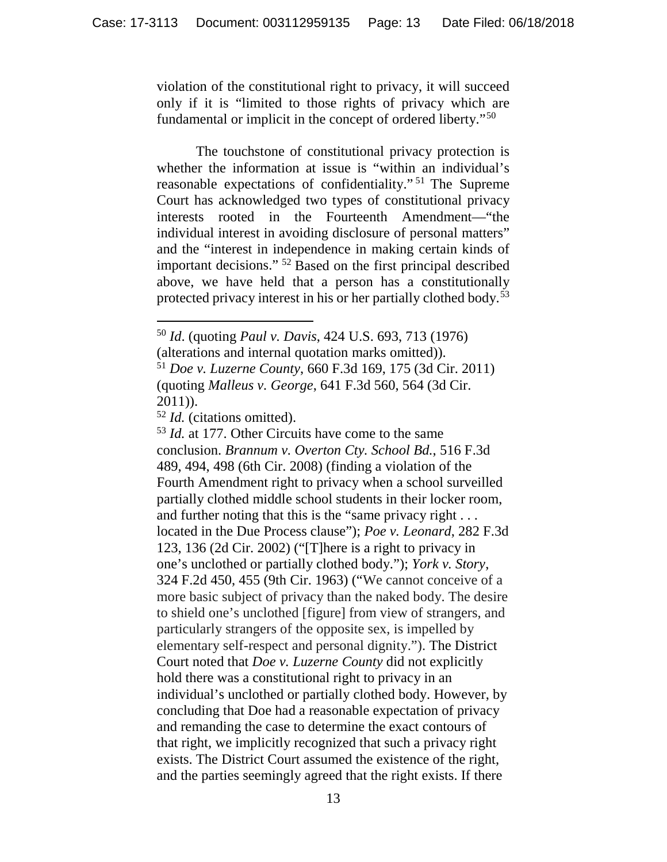violation of the constitutional right to privacy, it will succeed only if it is "limited to those rights of privacy which are fundamental or implicit in the concept of ordered liberty."[50](#page-12-0)

The touchstone of constitutional privacy protection is whether the information at issue is "within an individual's reasonable expectations of confidentiality." [51](#page-12-1) The Supreme Court has acknowledged two types of constitutional privacy interests rooted in the Fourteenth Amendment—"the individual interest in avoiding disclosure of personal matters" and the "interest in independence in making certain kinds of important decisions." [52](#page-12-2) Based on the first principal described above, we have held that a person has a constitutionally protected privacy interest in his or her partially clothed body.[53](#page-12-3)

<span id="page-12-3"></span><sup>53</sup> *Id.* at 177. Other Circuits have come to the same conclusion. *Brannum v. Overton Cty. School Bd.*, 516 F.3d 489, 494, 498 (6th Cir. 2008) (finding a violation of the Fourth Amendment right to privacy when a school surveilled partially clothed middle school students in their locker room, and further noting that this is the "same privacy right . . . located in the Due Process clause"); *Poe v. Leonard*, 282 F.3d 123, 136 (2d Cir. 2002) ("[T]here is a right to privacy in one's unclothed or partially clothed body."); *York v. Story*, 324 F.2d 450, 455 (9th Cir. 1963) ("We cannot conceive of a more basic subject of privacy than the naked body. The desire to shield one's unclothed [figure] from view of strangers, and particularly strangers of the opposite sex, is impelled by elementary self-respect and personal dignity."). The District Court noted that *Doe v. Luzerne County* did not explicitly hold there was a constitutional right to privacy in an individual's unclothed or partially clothed body. However, by concluding that Doe had a reasonable expectation of privacy and remanding the case to determine the exact contours of that right, we implicitly recognized that such a privacy right exists. The District Court assumed the existence of the right, and the parties seemingly agreed that the right exists. If there

<span id="page-12-0"></span> <sup>50</sup> *Id*. (quoting *Paul v. Davis*, 424 U.S. 693, 713 (1976)

<sup>(</sup>alterations and internal quotation marks omitted)).

<span id="page-12-1"></span><sup>51</sup> *Doe v. Luzerne County*, 660 F.3d 169, 175 (3d Cir. 2011) (quoting *Malleus v. George*, 641 F.3d 560, 564 (3d Cir. 2011)).

<span id="page-12-2"></span><sup>52</sup> *Id.* (citations omitted).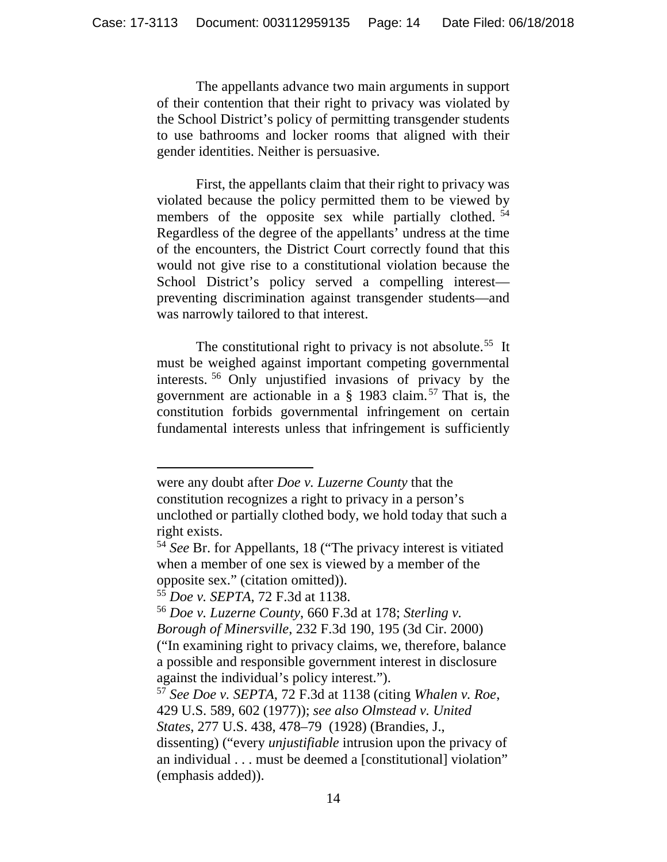The appellants advance two main arguments in support of their contention that their right to privacy was violated by the School District's policy of permitting transgender students to use bathrooms and locker rooms that aligned with their gender identities. Neither is persuasive.

First, the appellants claim that their right to privacy was violated because the policy permitted them to be viewed by members of the opposite sex while partially clothed.<sup>[54](#page-13-0)</sup> Regardless of the degree of the appellants' undress at the time of the encounters, the District Court correctly found that this would not give rise to a constitutional violation because the School District's policy served a compelling interest preventing discrimination against transgender students—and was narrowly tailored to that interest.

The constitutional right to privacy is not absolute.<sup>[55](#page-13-1)</sup> It must be weighed against important competing governmental interests. [56](#page-13-2) Only unjustified invasions of privacy by the government are actionable in a § 1983 claim. [57](#page-13-3) That is, the constitution forbids governmental infringement on certain fundamental interests unless that infringement is sufficiently

were any doubt after *Doe v. Luzerne County* that the constitution recognizes a right to privacy in a person's unclothed or partially clothed body, we hold today that such a right exists.

 $\overline{a}$ 

<span id="page-13-0"></span><sup>54</sup> *See* Br. for Appellants, 18 ("The privacy interest is vitiated when a member of one sex is viewed by a member of the opposite sex." (citation omitted)).

<sup>55</sup> *Doe v. SEPTA*, 72 F.3d at 1138.

<span id="page-13-2"></span><span id="page-13-1"></span><sup>56</sup> *Doe v. Luzerne County*, 660 F.3d at 178; *Sterling v. Borough of Minersville*, 232 F.3d 190, 195 (3d Cir. 2000) ("In examining right to privacy claims, we, therefore, balance a possible and responsible government interest in disclosure against the individual's policy interest.").

<span id="page-13-3"></span><sup>57</sup> *See Doe v. SEPTA*, 72 F.3d at 1138 (citing *Whalen v. Roe*, 429 U.S. 589, 602 (1977)); *see also Olmstead v. United States*, 277 U.S. 438, 478–79 (1928) (Brandies, J., dissenting) ("every *unjustifiable* intrusion upon the privacy of an individual . . . must be deemed a [constitutional] violation" (emphasis added)).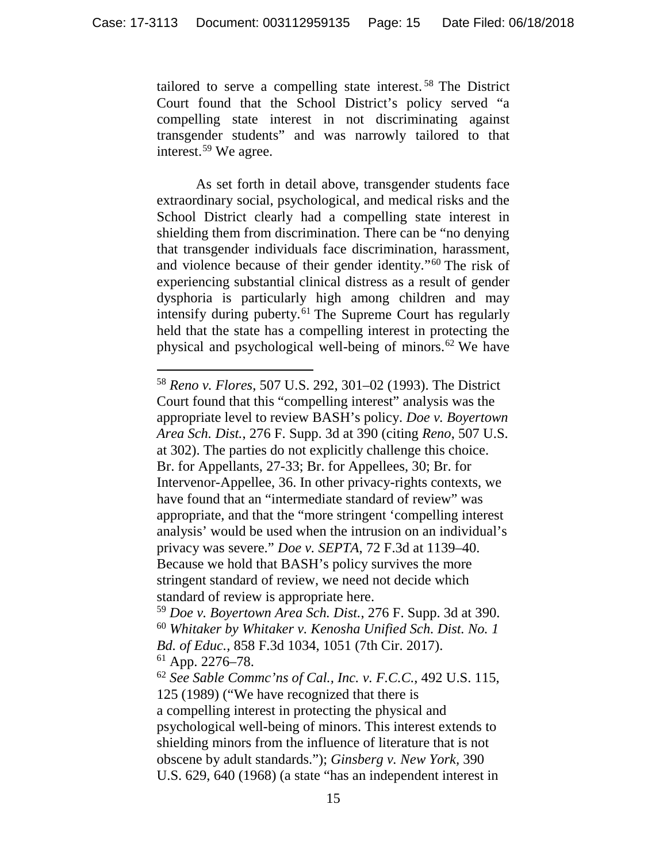tailored to serve a compelling state interest. [58](#page-14-0) The District Court found that the School District's policy served "a compelling state interest in not discriminating against transgender students" and was narrowly tailored to that interest.[59](#page-14-1) We agree.

As set forth in detail above, transgender students face extraordinary social, psychological, and medical risks and the School District clearly had a compelling state interest in shielding them from discrimination. There can be "no denying that transgender individuals face discrimination, harassment, and violence because of their gender identity."[60](#page-14-2) The risk of experiencing substantial clinical distress as a result of gender dysphoria is particularly high among children and may intensify during puberty.<sup>[61](#page-14-3)</sup> The Supreme Court has regularly held that the state has a compelling interest in protecting the physical and psychological well-being of minors.[62](#page-14-4) We have

<span id="page-14-0"></span> <sup>58</sup> *Reno v. Flores*, 507 U.S. 292, 301–02 (1993). The District Court found that this "compelling interest" analysis was the appropriate level to review BASH's policy. *Doe v. Boyertown Area Sch. Dist.*, 276 F. Supp. 3d at 390 (citing *Reno*, 507 U.S. at 302). The parties do not explicitly challenge this choice. Br. for Appellants, 27-33; Br. for Appellees, 30; Br. for Intervenor-Appellee, 36. In other privacy-rights contexts, we have found that an "intermediate standard of review" was appropriate, and that the "more stringent 'compelling interest analysis' would be used when the intrusion on an individual's privacy was severe." *Doe v. SEPTA*, 72 F.3d at 1139–40. Because we hold that BASH's policy survives the more stringent standard of review, we need not decide which standard of review is appropriate here.

<span id="page-14-2"></span><span id="page-14-1"></span><sup>59</sup> *Doe v. Boyertown Area Sch. Dist.*, 276 F. Supp. 3d at 390. <sup>60</sup> *Whitaker by Whitaker v. Kenosha Unified Sch. Dist. No. 1 Bd. of Educ.,* 858 F.3d 1034, 1051 (7th Cir. 2017).  $61$  App. 2276–78.

<span id="page-14-4"></span><span id="page-14-3"></span><sup>62</sup> *See Sable Commc'ns of Cal., Inc. v. F.C.C.*, 492 U.S. 115, 125 (1989) ("We have recognized that there is a compelling interest in protecting the physical and psychological well-being of minors. This interest extends to shielding minors from the influence of literature that is not obscene by adult standards."); *Ginsberg v. New York,* 390 U.S. 629, 640 (1968) (a state "has an independent interest in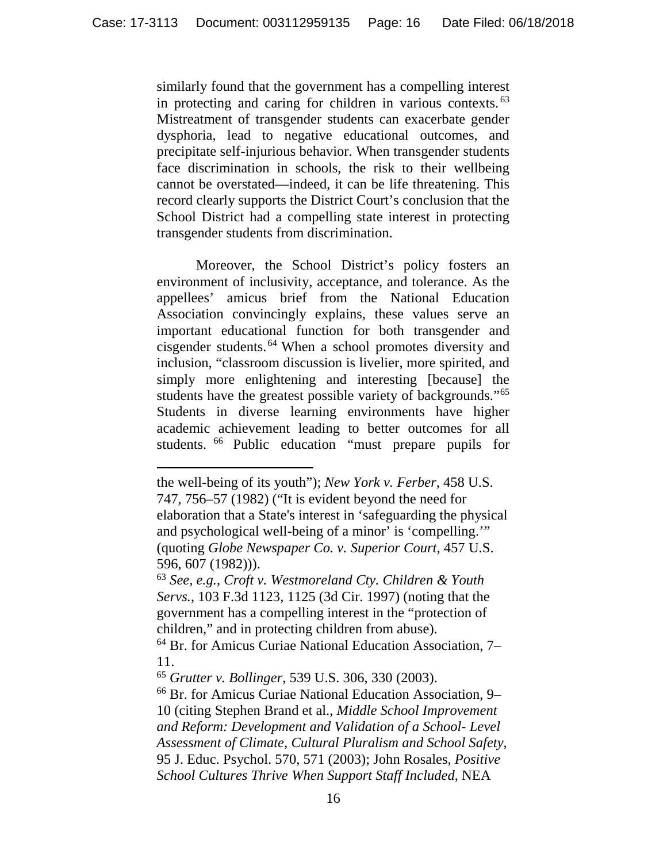similarly found that the government has a compelling interest in protecting and caring for children in various contexts.<sup>[63](#page-15-0)</sup> Mistreatment of transgender students can exacerbate gender dysphoria, lead to negative educational outcomes, and precipitate self-injurious behavior. When transgender students face discrimination in schools, the risk to their wellbeing cannot be overstated—indeed, it can be life threatening. This record clearly supports the District Court's conclusion that the School District had a compelling state interest in protecting transgender students from discrimination.

Moreover, the School District's policy fosters an environment of inclusivity, acceptance, and tolerance. As the appellees' amicus brief from the National Education Association convincingly explains, these values serve an important educational function for both transgender and cisgender students. [64](#page-15-1) When a school promotes diversity and inclusion, "classroom discussion is livelier, more spirited, and simply more enlightening and interesting [because] the students have the greatest possible variety of backgrounds."[65](#page-15-2) Students in diverse learning environments have higher academic achievement leading to better outcomes for all students. [66](#page-15-3) Public education "must prepare pupils for

 $\overline{a}$ 

the well-being of its youth"); *New York v. Ferber,* 458 U.S. 747, 756–57 (1982) ("It is evident beyond the need for elaboration that a State's interest in 'safeguarding the physical and psychological well-being of a minor' is 'compelling.'" (quoting *Globe Newspaper Co. v. Superior Court,* 457 U.S. 596, 607 (1982))).

<span id="page-15-0"></span><sup>63</sup> *See, e.g.*, *Croft v. Westmoreland Cty. Children & Youth Servs.*, 103 F.3d 1123, 1125 (3d Cir. 1997) (noting that the government has a compelling interest in the "protection of children," and in protecting children from abuse).

<span id="page-15-1"></span><sup>64</sup> Br. for Amicus Curiae National Education Association, 7– 11.

<span id="page-15-2"></span><sup>65</sup> *Grutter v. Bollinger*, 539 U.S. 306, 330 (2003).

<span id="page-15-3"></span><sup>66</sup> Br. for Amicus Curiae National Education Association, 9– 10 (citing Stephen Brand et al., *Middle School Improvement and Reform: Development and Validation of a School- Level Assessment of Climate, Cultural Pluralism and School Safety*, 95 J. Educ. Psychol. 570, 571 (2003); John Rosales, *Positive School Cultures Thrive When Support Staff Included*, NEA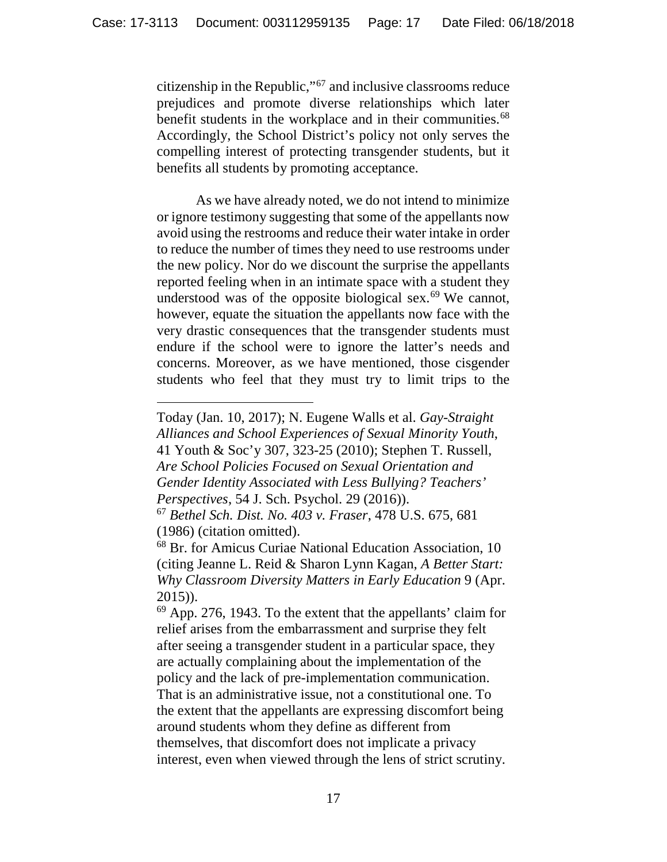citizenship in the Republic,"[67](#page-16-0) and inclusive classrooms reduce prejudices and promote diverse relationships which later benefit students in the workplace and in their communities.<sup>[68](#page-16-1)</sup> Accordingly, the School District's policy not only serves the compelling interest of protecting transgender students, but it benefits all students by promoting acceptance.

As we have already noted, we do not intend to minimize or ignore testimony suggesting that some of the appellants now avoid using the restrooms and reduce their water intake in order to reduce the number of times they need to use restrooms under the new policy. Nor do we discount the surprise the appellants reported feeling when in an intimate space with a student they understood was of the opposite biological sex.<sup>[69](#page-16-2)</sup> We cannot, however, equate the situation the appellants now face with the very drastic consequences that the transgender students must endure if the school were to ignore the latter's needs and concerns. Moreover, as we have mentioned, those cisgender students who feel that they must try to limit trips to the

 $\overline{a}$ 

Today (Jan. 10, 2017); N. Eugene Walls et al. *Gay-Straight Alliances and School Experiences of Sexual Minority Youth*, 41 Youth & Soc'y 307, 323-25 (2010); Stephen T. Russell, *Are School Policies Focused on Sexual Orientation and Gender Identity Associated with Less Bullying? Teachers' Perspectives*, 54 J. Sch. Psychol. 29 (2016)).

<span id="page-16-0"></span><sup>67</sup> *Bethel Sch. Dist. No. 403 v. Fraser*, 478 U.S. 675, 681 (1986) (citation omitted).

<span id="page-16-1"></span><sup>68</sup> Br. for Amicus Curiae National Education Association, 10 (citing Jeanne L. Reid & Sharon Lynn Kagan, *A Better Start: Why Classroom Diversity Matters in Early Education* 9 (Apr. 2015)).

<span id="page-16-2"></span><sup>69</sup> App. 276, 1943. To the extent that the appellants' claim for relief arises from the embarrassment and surprise they felt after seeing a transgender student in a particular space, they are actually complaining about the implementation of the policy and the lack of pre-implementation communication. That is an administrative issue, not a constitutional one. To the extent that the appellants are expressing discomfort being around students whom they define as different from themselves, that discomfort does not implicate a privacy interest, even when viewed through the lens of strict scrutiny.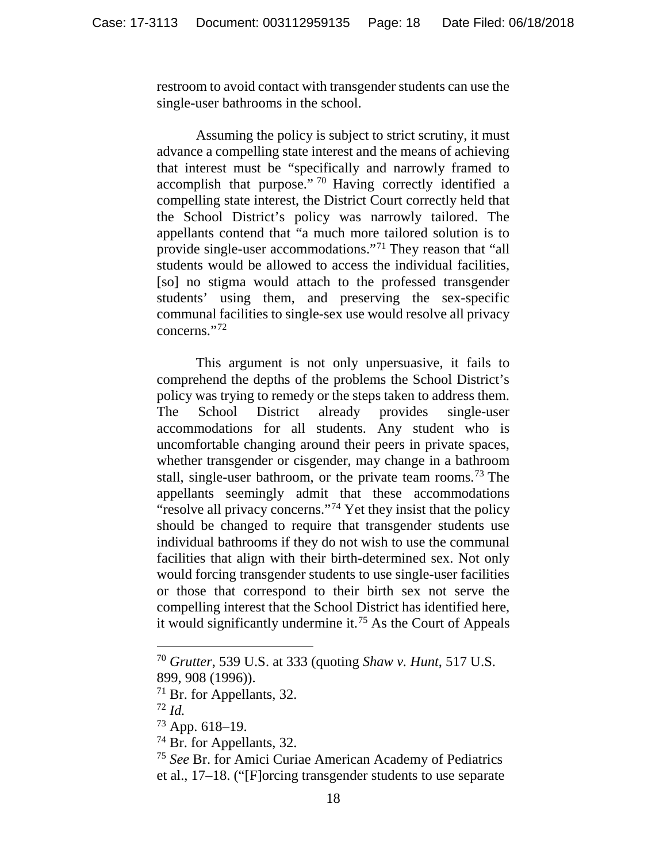restroom to avoid contact with transgender students can use the single-user bathrooms in the school.

Assuming the policy is subject to strict scrutiny, it must advance a compelling state interest and the means of achieving that interest must be "specifically and narrowly framed to accomplish that purpose." [70](#page-17-0) Having correctly identified a compelling state interest, the District Court correctly held that the School District's policy was narrowly tailored. The appellants contend that "a much more tailored solution is to provide single-user accommodations."[71](#page-17-1) They reason that "all students would be allowed to access the individual facilities, [so] no stigma would attach to the professed transgender students' using them, and preserving the sex-specific communal facilities to single-sex use would resolve all privacy concerns."[72](#page-17-2)

This argument is not only unpersuasive, it fails to comprehend the depths of the problems the School District's policy was trying to remedy or the steps taken to address them. The School District already provides single-user accommodations for all students. Any student who is uncomfortable changing around their peers in private spaces, whether transgender or cisgender, may change in a bathroom stall, single-user bathroom, or the private team rooms.<sup>[73](#page-17-3)</sup> The appellants seemingly admit that these accommodations "resolve all privacy concerns."<sup>[74](#page-17-4)</sup> Yet they insist that the policy should be changed to require that transgender students use individual bathrooms if they do not wish to use the communal facilities that align with their birth-determined sex. Not only would forcing transgender students to use single-user facilities or those that correspond to their birth sex not serve the compelling interest that the School District has identified here, it would significantly undermine it. [75](#page-17-5) As the Court of Appeals

<span id="page-17-0"></span> <sup>70</sup> *Grutter*, 539 U.S. at 333 (quoting *Shaw v. Hunt*, 517 U.S. 899, 908 (1996)).

<span id="page-17-1"></span><sup>&</sup>lt;sup>71</sup> Br. for Appellants, 32.  $\frac{72}{1}$  *Id.* 

<span id="page-17-3"></span><span id="page-17-2"></span><sup>73</sup> App. 618–19.

<span id="page-17-4"></span><sup>&</sup>lt;sup>74</sup> Br. for Appellants, 32.

<span id="page-17-5"></span><sup>75</sup> *See* Br. for Amici Curiae American Academy of Pediatrics et al., 17–18. ("[F]orcing transgender students to use separate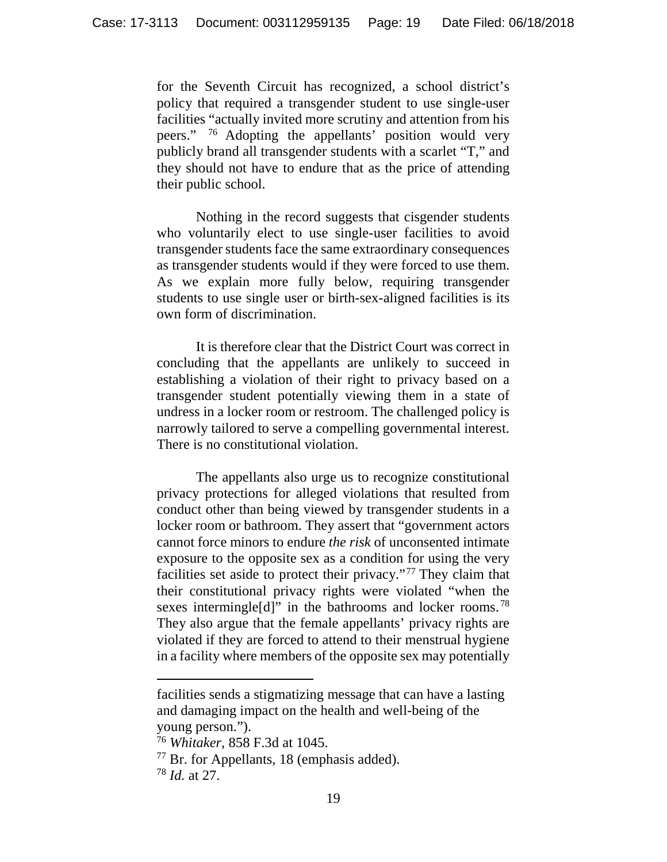for the Seventh Circuit has recognized, a school district's policy that required a transgender student to use single-user facilities "actually invited more scrutiny and attention from his peers." [76](#page-18-0) Adopting the appellants' position would very publicly brand all transgender students with a scarlet "T," and they should not have to endure that as the price of attending their public school.

Nothing in the record suggests that cisgender students who voluntarily elect to use single-user facilities to avoid transgender students face the same extraordinary consequences as transgender students would if they were forced to use them. As we explain more fully below, requiring transgender students to use single user or birth-sex-aligned facilities is its own form of discrimination.

It is therefore clear that the District Court was correct in concluding that the appellants are unlikely to succeed in establishing a violation of their right to privacy based on a transgender student potentially viewing them in a state of undress in a locker room or restroom. The challenged policy is narrowly tailored to serve a compelling governmental interest. There is no constitutional violation.

The appellants also urge us to recognize constitutional privacy protections for alleged violations that resulted from conduct other than being viewed by transgender students in a locker room or bathroom. They assert that "government actors cannot force minors to endure *the risk* of unconsented intimate exposure to the opposite sex as a condition for using the very facilities set aside to protect their privacy."[77](#page-18-1) They claim that their constitutional privacy rights were violated "when the sexes intermingle<sup>[d]"</sup> in the bathrooms and locker rooms.<sup>[78](#page-18-2)</sup> They also argue that the female appellants' privacy rights are violated if they are forced to attend to their menstrual hygiene in a facility where members of the opposite sex may potentially

 $\overline{a}$ 

facilities sends a stigmatizing message that can have a lasting and damaging impact on the health and well-being of the young person.").

<span id="page-18-0"></span><sup>76</sup> *Whitaker*, 858 F.3d at 1045.

<span id="page-18-2"></span><span id="page-18-1"></span><sup>77</sup> Br. for Appellants, 18 (emphasis added).

<sup>78</sup> *Id.* at 27.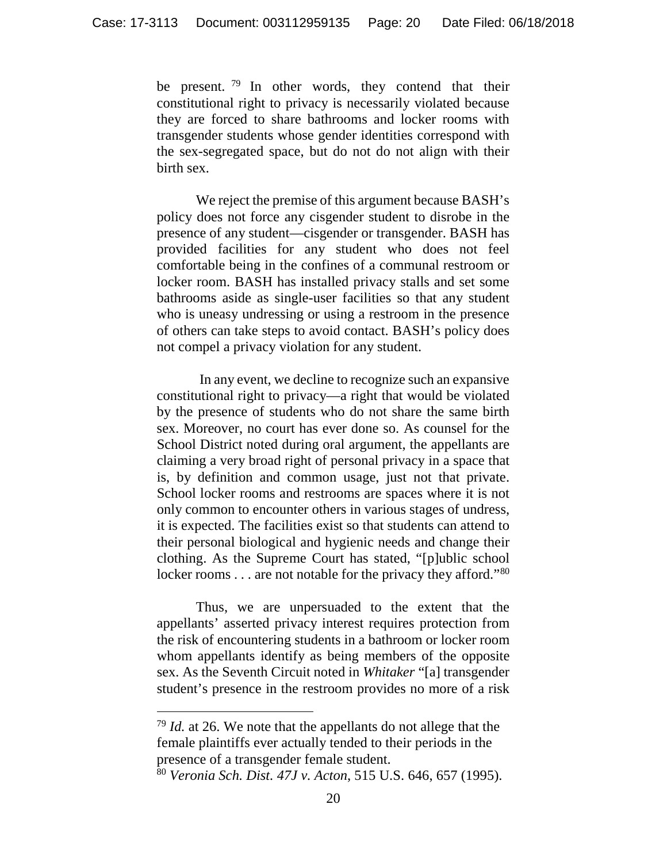be present. <sup>[79](#page-19-0)</sup> In other words, they contend that their constitutional right to privacy is necessarily violated because they are forced to share bathrooms and locker rooms with transgender students whose gender identities correspond with the sex-segregated space, but do not do not align with their birth sex.

We reject the premise of this argument because BASH's policy does not force any cisgender student to disrobe in the presence of any student—cisgender or transgender. BASH has provided facilities for any student who does not feel comfortable being in the confines of a communal restroom or locker room. BASH has installed privacy stalls and set some bathrooms aside as single-user facilities so that any student who is uneasy undressing or using a restroom in the presence of others can take steps to avoid contact. BASH's policy does not compel a privacy violation for any student.

In any event, we decline to recognize such an expansive constitutional right to privacy—a right that would be violated by the presence of students who do not share the same birth sex. Moreover, no court has ever done so. As counsel for the School District noted during oral argument, the appellants are claiming a very broad right of personal privacy in a space that is, by definition and common usage, just not that private. School locker rooms and restrooms are spaces where it is not only common to encounter others in various stages of undress, it is expected. The facilities exist so that students can attend to their personal biological and hygienic needs and change their clothing. As the Supreme Court has stated, "[p]ublic school locker rooms . . . are not notable for the privacy they afford."<sup>[80](#page-19-1)</sup>

Thus, we are unpersuaded to the extent that the appellants' asserted privacy interest requires protection from the risk of encountering students in a bathroom or locker room whom appellants identify as being members of the opposite sex. As the Seventh Circuit noted in *Whitaker* "[a] transgender student's presence in the restroom provides no more of a risk

<span id="page-19-0"></span> <sup>79</sup> *Id.* at 26. We note that the appellants do not allege that the female plaintiffs ever actually tended to their periods in the presence of a transgender female student.

<span id="page-19-1"></span><sup>80</sup> *Veronia Sch. Dist. 47J v. Acton*, 515 U.S. 646, 657 (1995).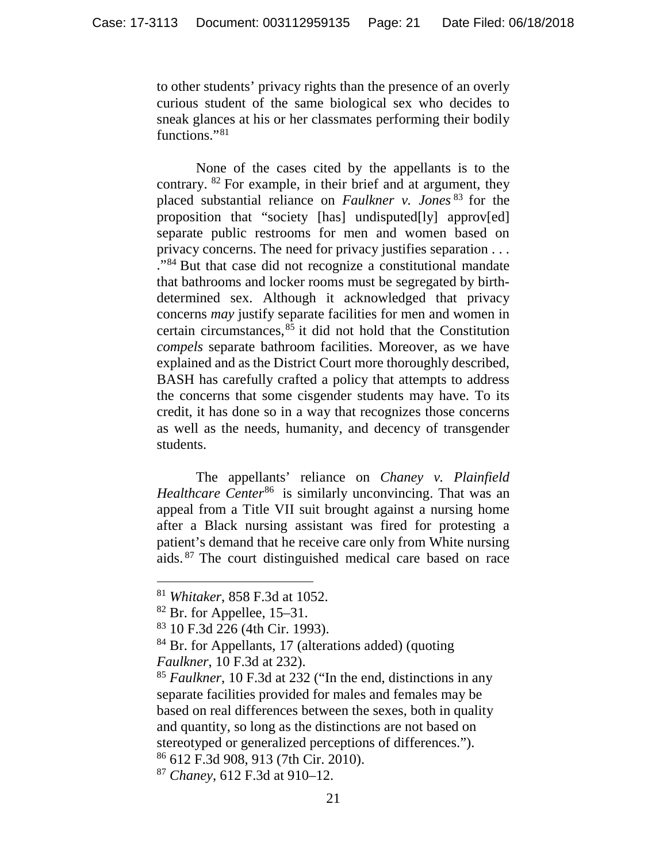to other students' privacy rights than the presence of an overly curious student of the same biological sex who decides to sneak glances at his or her classmates performing their bodily functions."<sup>[81](#page-20-0)</sup>

None of the cases cited by the appellants is to the contrary. [82](#page-20-1) For example, in their brief and at argument, they placed substantial reliance on *Faulkner v. Jones* [83](#page-20-2) for the proposition that "society [has] undisputed[ly] approv[ed] separate public restrooms for men and women based on privacy concerns. The need for privacy justifies separation . . . ."[84](#page-20-3) But that case did not recognize a constitutional mandate that bathrooms and locker rooms must be segregated by birthdetermined sex. Although it acknowledged that privacy concerns *may* justify separate facilities for men and women in certain circumstances,  $85$  it did not hold that the Constitution *compels* separate bathroom facilities. Moreover, as we have explained and as the District Court more thoroughly described, BASH has carefully crafted a policy that attempts to address the concerns that some cisgender students may have. To its credit, it has done so in a way that recognizes those concerns as well as the needs, humanity, and decency of transgender students.

The appellants' reliance on *Chaney v. Plainfield Healthcare Center*<sup>[86](#page-20-5)</sup> is similarly unconvincing. That was an appeal from a Title VII suit brought against a nursing home after a Black nursing assistant was fired for protesting a patient's demand that he receive care only from White nursing aids. [87](#page-20-6) The court distinguished medical care based on race

 <sup>81</sup> *Whitaker*, 858 F.3d at 1052.

<span id="page-20-1"></span><span id="page-20-0"></span> $82$  Br. for Appellee, 15–31.

<span id="page-20-2"></span><sup>83</sup> 10 F.3d 226 (4th Cir. 1993).

<span id="page-20-3"></span><sup>84</sup> Br. for Appellants, 17 (alterations added) (quoting *Faulkner*, 10 F.3d at 232).

<span id="page-20-4"></span><sup>85</sup> *Faulkner*, 10 F.3d at 232 ("In the end, distinctions in any separate facilities provided for males and females may be based on real differences between the sexes, both in quality and quantity, so long as the distinctions are not based on stereotyped or generalized perceptions of differences."). <sup>86</sup> 612 F.3d 908, 913 (7th Cir. 2010).

<span id="page-20-6"></span><span id="page-20-5"></span><sup>87</sup> *Chaney*, 612 F.3d at 910–12.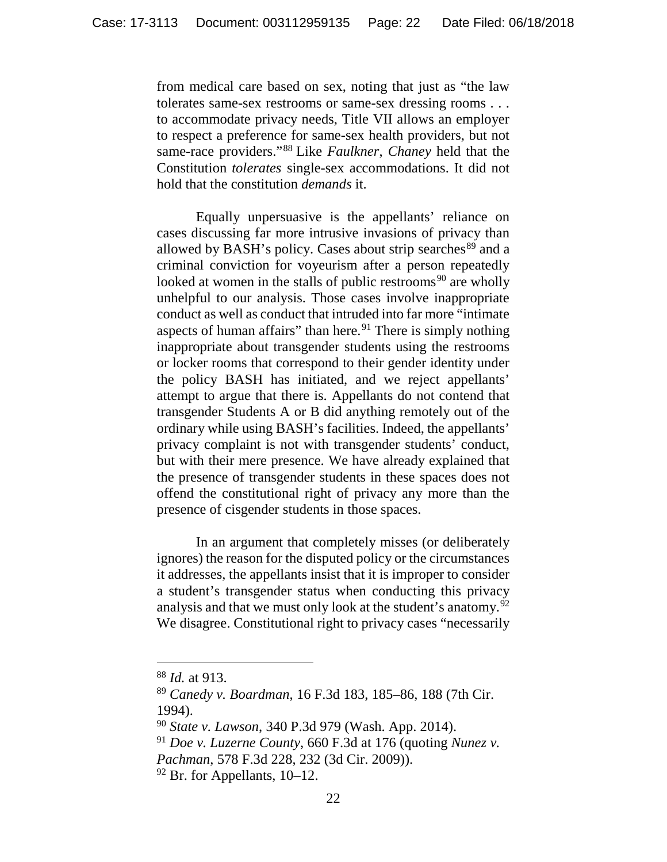from medical care based on sex, noting that just as "the law tolerates same-sex restrooms or same-sex dressing rooms . . . to accommodate privacy needs, Title VII allows an employer to respect a preference for same-sex health providers, but not same-race providers."[88](#page-21-0) Like *Faulkner*, *Chaney* held that the Constitution *tolerates* single-sex accommodations. It did not hold that the constitution *demands* it.

Equally unpersuasive is the appellants' reliance on cases discussing far more intrusive invasions of privacy than allowed by BASH's policy. Cases about strip searches<sup>[89](#page-21-1)</sup> and a criminal conviction for voyeurism after a person repeatedly looked at women in the stalls of public restrooms<sup>[90](#page-21-2)</sup> are wholly unhelpful to our analysis. Those cases involve inappropriate conduct as well as conduct that intruded into far more "intimate aspects of human affairs" than here.<sup>[91](#page-21-3)</sup> There is simply nothing inappropriate about transgender students using the restrooms or locker rooms that correspond to their gender identity under the policy BASH has initiated, and we reject appellants' attempt to argue that there is. Appellants do not contend that transgender Students A or B did anything remotely out of the ordinary while using BASH's facilities. Indeed, the appellants' privacy complaint is not with transgender students' conduct, but with their mere presence. We have already explained that the presence of transgender students in these spaces does not offend the constitutional right of privacy any more than the presence of cisgender students in those spaces.

In an argument that completely misses (or deliberately ignores) the reason for the disputed policy or the circumstances it addresses, the appellants insist that it is improper to consider a student's transgender status when conducting this privacy analysis and that we must only look at the student's anatomy.<sup>[92](#page-21-4)</sup> We disagree. Constitutional right to privacy cases "necessarily

<span id="page-21-0"></span> <sup>88</sup> *Id.* at 913.

<span id="page-21-1"></span><sup>89</sup> *Canedy v. Boardman*, 16 F.3d 183, 185–86, 188 (7th Cir. 1994).

<span id="page-21-2"></span><sup>90</sup> *State v. Lawson*, 340 P.3d 979 (Wash. App. 2014).

<span id="page-21-3"></span><sup>91</sup> *Doe v. Luzerne County*, 660 F.3d at 176 (quoting *Nunez v. Pachman*, 578 F.3d 228, 232 (3d Cir. 2009)).

<span id="page-21-4"></span> $92$  Br. for Appellants, 10–12.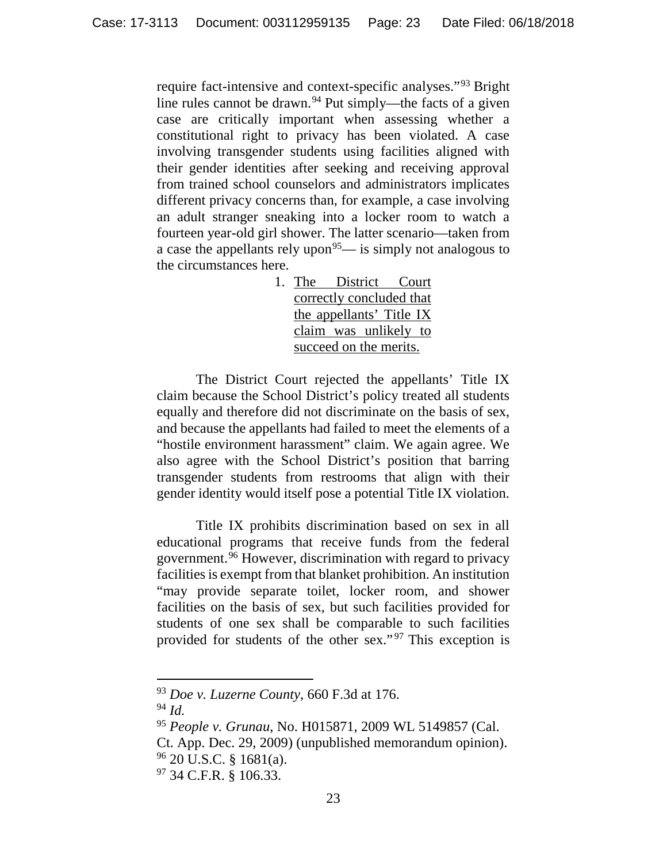require fact-intensive and context-specific analyses."[93](#page-22-0) Bright line rules cannot be drawn.<sup>[94](#page-22-1)</sup> Put simply—the facts of a given case are critically important when assessing whether a constitutional right to privacy has been violated. A case involving transgender students using facilities aligned with their gender identities after seeking and receiving approval from trained school counselors and administrators implicates different privacy concerns than, for example, a case involving an adult stranger sneaking into a locker room to watch a fourteen year-old girl shower. The latter scenario—taken from a case the appellants rely upon<sup>95</sup>— is simply not analogous to the circumstances here.

> 1. The District Court correctly concluded that the appellants' Title IX claim was unlikely to succeed on the merits.

The District Court rejected the appellants' Title IX claim because the School District's policy treated all students equally and therefore did not discriminate on the basis of sex, and because the appellants had failed to meet the elements of a "hostile environment harassment" claim. We again agree. We also agree with the School District's position that barring transgender students from restrooms that align with their gender identity would itself pose a potential Title IX violation.

Title IX prohibits discrimination based on sex in all educational programs that receive funds from the federal government.[96](#page-22-3) However, discrimination with regard to privacy facilities is exempt from that blanket prohibition. An institution "may provide separate toilet, locker room, and shower facilities on the basis of sex, but such facilities provided for students of one sex shall be comparable to such facilities provided for students of the other sex."<sup>[97](#page-22-4)</sup> This exception is

<span id="page-22-1"></span><span id="page-22-0"></span> <sup>93</sup> *Doe v. Luzerne County*, 660 F.3d at 176.

<sup>94</sup> *Id.*

<span id="page-22-2"></span><sup>95</sup> *People v. Grunau*, No. H015871, 2009 WL 5149857 (Cal.

<span id="page-22-3"></span>Ct. App. Dec. 29, 2009) (unpublished memorandum opinion). <sup>96</sup> 20 U.S.C. § 1681(a).

<span id="page-22-4"></span><sup>97</sup> 34 C.F.R. § 106.33.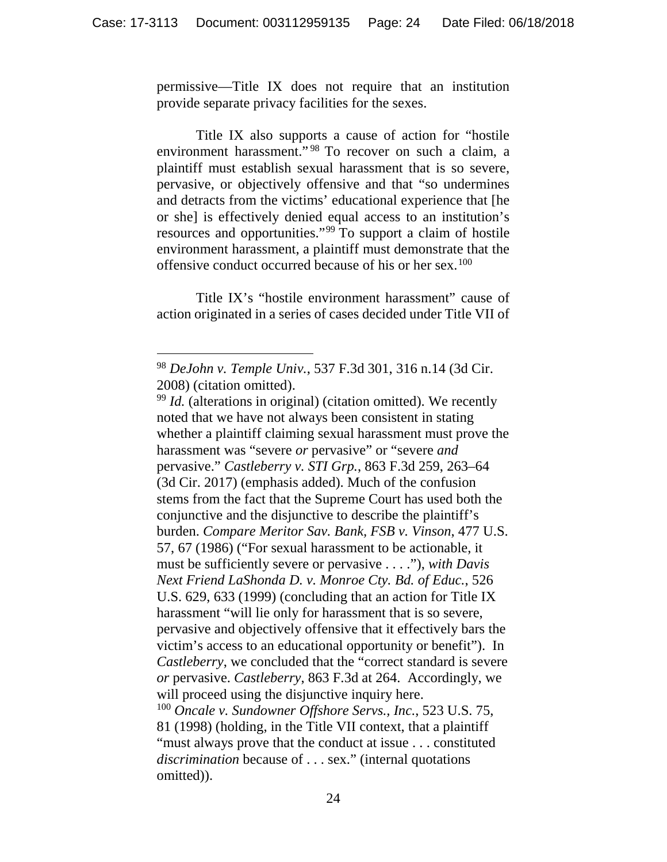permissive—Title IX does not require that an institution provide separate privacy facilities for the sexes.

Title IX also supports a cause of action for "hostile environment harassment."<sup>[98](#page-23-0)</sup> To recover on such a claim, a plaintiff must establish sexual harassment that is so severe, pervasive, or objectively offensive and that "so undermines and detracts from the victims' educational experience that [he or she] is effectively denied equal access to an institution's resources and opportunities."[99](#page-23-1) To support a claim of hostile environment harassment, a plaintiff must demonstrate that the offensive conduct occurred because of his or her sex.[100](#page-23-2)

Title IX's "hostile environment harassment" cause of action originated in a series of cases decided under Title VII of

<span id="page-23-0"></span> <sup>98</sup> *DeJohn v. Temple Univ.*, 537 F.3d 301, 316 n.14 (3d Cir. 2008) (citation omitted).<br><sup>99</sup> *Id.* (alterations in original) (citation omitted). We recently

<span id="page-23-2"></span><span id="page-23-1"></span>noted that we have not always been consistent in stating whether a plaintiff claiming sexual harassment must prove the harassment was "severe *or* pervasive" or "severe *and* pervasive." *Castleberry v. STI Grp.*, 863 F.3d 259, 263–64 (3d Cir. 2017) (emphasis added). Much of the confusion stems from the fact that the Supreme Court has used both the conjunctive and the disjunctive to describe the plaintiff's burden. *Compare Meritor Sav. Bank, FSB v. Vinson*, 477 U.S. 57, 67 (1986) ("For sexual harassment to be actionable, it must be sufficiently severe or pervasive . . . ."), *with Davis Next Friend LaShonda D. v. Monroe Cty. Bd. of Educ.*, 526 U.S. 629, 633 (1999) (concluding that an action for Title IX harassment "will lie only for harassment that is so severe, pervasive and objectively offensive that it effectively bars the victim's access to an educational opportunity or benefit"). In *Castleberry*, we concluded that the "correct standard is severe *or* pervasive. *Castleberry*, 863 F.3d at 264. Accordingly, we will proceed using the disjunctive inquiry here. <sup>100</sup> *Oncale v. Sundowner Offshore Servs., Inc.*, 523 U.S. 75, 81 (1998) (holding, in the Title VII context, that a plaintiff "must always prove that the conduct at issue . . . constituted *discrimination* because of . . . sex." (internal quotations omitted)).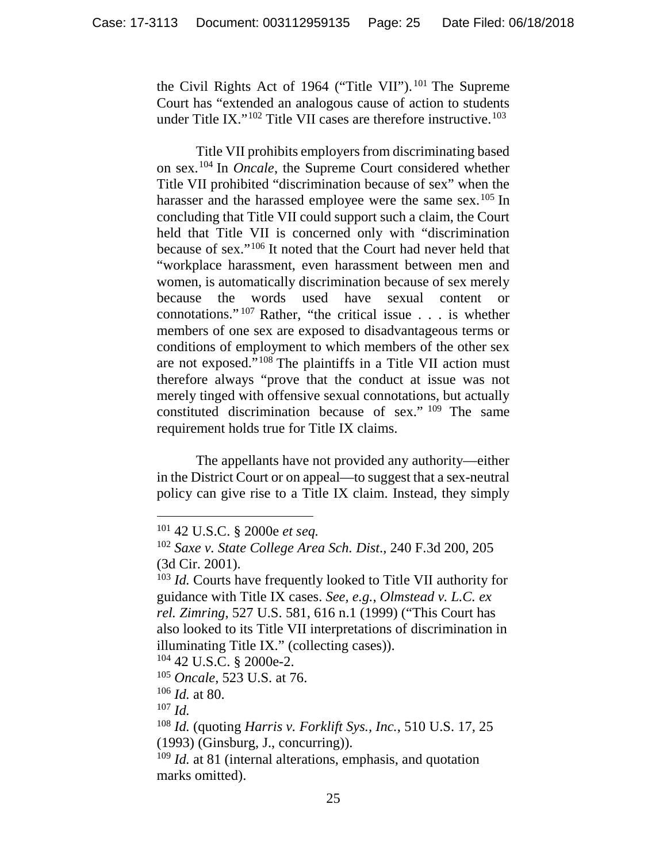the Civil Rights Act of 1964 ("Title VII"). [101](#page-24-0) The Supreme Court has "extended an analogous cause of action to students under Title IX."<sup>[102](#page-24-1)</sup> Title VII cases are therefore instructive.<sup>[103](#page-24-2)</sup>

Title VII prohibits employers from discriminating based on sex.[104](#page-24-3) In *Oncale*, the Supreme Court considered whether Title VII prohibited "discrimination because of sex" when the harasser and the harassed employee were the same sex.<sup>[105](#page-24-4)</sup> In concluding that Title VII could support such a claim, the Court held that Title VII is concerned only with "discrimination because of sex."[106](#page-24-5) It noted that the Court had never held that "workplace harassment, even harassment between men and women, is automatically discrimination because of sex merely because the words used have sexual content or connotations." [107](#page-24-6) Rather, "the critical issue . . . is whether members of one sex are exposed to disadvantageous terms or conditions of employment to which members of the other sex are not exposed."<sup>[108](#page-24-7)</sup> The plaintiffs in a Title VII action must therefore always "prove that the conduct at issue was not merely tinged with offensive sexual connotations, but actually constituted discrimination because of sex." [109](#page-24-8) The same requirement holds true for Title IX claims.

The appellants have not provided any authority—either in the District Court or on appeal—to suggest that a sex-neutral policy can give rise to a Title IX claim. Instead, they simply

<span id="page-24-3"></span><sup>104</sup> 42 U.S.C. § 2000e-2.

<span id="page-24-4"></span><sup>105</sup> *Oncale*, 523 U.S. at 76.

<span id="page-24-5"></span><sup>106</sup> *Id.* at 80.

<span id="page-24-6"></span><sup>107</sup> *Id.*

<span id="page-24-0"></span> <sup>101</sup> 42 U.S.C. § 2000e *et seq.*

<span id="page-24-1"></span><sup>102</sup> *Saxe v. State College Area Sch. Dist*., 240 F.3d 200, 205 (3d Cir. 2001).

<span id="page-24-2"></span><sup>103</sup> *Id.* Courts have frequently looked to Title VII authority for guidance with Title IX cases. *See, e.g.*, *Olmstead v. L.C. ex rel. Zimring*, 527 U.S. 581, 616 n.1 (1999) ("This Court has also looked to its Title VII interpretations of discrimination in illuminating Title IX." (collecting cases)).

<span id="page-24-7"></span><sup>108</sup> *Id.* (quoting *Harris v. Forklift Sys., Inc.*, 510 U.S. 17, 25

<sup>(1993)</sup> (Ginsburg, J., concurring)).

<span id="page-24-8"></span><sup>&</sup>lt;sup>109</sup> *Id.* at 81 (internal alterations, emphasis, and quotation marks omitted).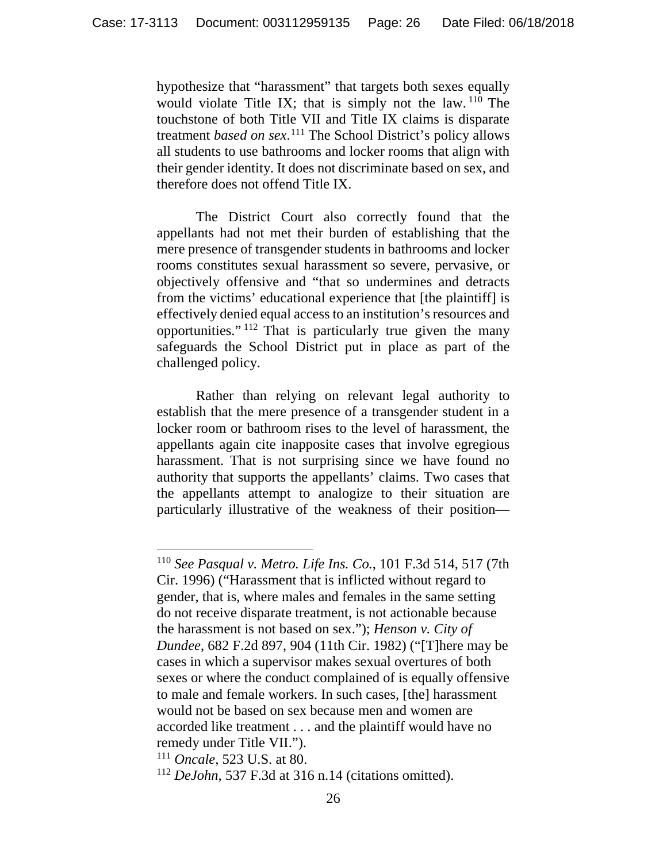hypothesize that "harassment" that targets both sexes equally would violate Title IX; that is simply not the law.  $110$  The touchstone of both Title VII and Title IX claims is disparate treatment *based on sex*. [111](#page-25-1) The School District's policy allows all students to use bathrooms and locker rooms that align with their gender identity. It does not discriminate based on sex, and therefore does not offend Title IX.

The District Court also correctly found that the appellants had not met their burden of establishing that the mere presence of transgender students in bathrooms and locker rooms constitutes sexual harassment so severe, pervasive, or objectively offensive and "that so undermines and detracts from the victims' educational experience that [the plaintiff] is effectively denied equal access to an institution's resources and opportunities." [112](#page-25-2) That is particularly true given the many safeguards the School District put in place as part of the challenged policy.

Rather than relying on relevant legal authority to establish that the mere presence of a transgender student in a locker room or bathroom rises to the level of harassment, the appellants again cite inapposite cases that involve egregious harassment. That is not surprising since we have found no authority that supports the appellants' claims. Two cases that the appellants attempt to analogize to their situation are particularly illustrative of the weakness of their position—

<span id="page-25-0"></span> <sup>110</sup> *See Pasqual v. Metro. Life Ins. Co.*, 101 F.3d 514, 517 (7th Cir. 1996) ("Harassment that is inflicted without regard to gender, that is, where males and females in the same setting do not receive disparate treatment, is not actionable because the harassment is not based on sex."); *Henson v. City of Dundee*, 682 F.2d 897, 904 (11th Cir. 1982) ("[T]here may be cases in which a supervisor makes sexual overtures of both sexes or where the conduct complained of is equally offensive to male and female workers. In such cases, [the] harassment would not be based on sex because men and women are accorded like treatment . . . and the plaintiff would have no remedy under Title VII.").

<span id="page-25-1"></span><sup>111</sup> *Oncale*, 523 U.S. at 80.

<span id="page-25-2"></span><sup>112</sup> *DeJohn*, 537 F.3d at 316 n.14 (citations omitted).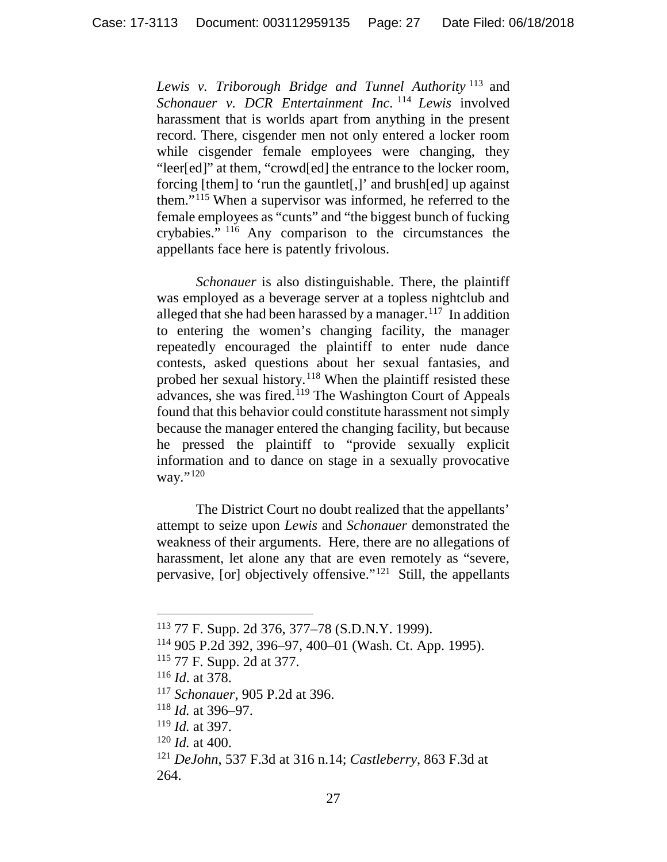*Lewis v. Triborough Bridge and Tunnel Authority* [113](#page-26-0) and *Schonauer v. DCR Entertainment Inc.* <sup>[114](#page-26-1)</sup> *Lewis* involved harassment that is worlds apart from anything in the present record. There, cisgender men not only entered a locker room while cisgender female employees were changing, they "leer[ed]" at them, "crowd[ed] the entrance to the locker room, forcing [them] to 'run the gauntlet[,]' and brush[ed] up against them."[115](#page-26-2) When a supervisor was informed, he referred to the female employees as "cunts" and "the biggest bunch of fucking crybabies." [116](#page-26-3) Any comparison to the circumstances the appellants face here is patently frivolous.

*Schonauer* is also distinguishable. There, the plaintiff was employed as a beverage server at a topless nightclub and alleged that she had been harassed by a manager.<sup>[117](#page-26-4)</sup> In addition to entering the women's changing facility, the manager repeatedly encouraged the plaintiff to enter nude dance contests, asked questions about her sexual fantasies, and probed her sexual history.[118](#page-26-5) When the plaintiff resisted these advances, she was fired.[119](#page-26-6) The Washington Court of Appeals found that this behavior could constitute harassment not simply because the manager entered the changing facility, but because he pressed the plaintiff to "provide sexually explicit information and to dance on stage in a sexually provocative way."[120](#page-26-7)

The District Court no doubt realized that the appellants' attempt to seize upon *Lewis* and *Schonauer* demonstrated the weakness of their arguments. Here, there are no allegations of harassment, let alone any that are even remotely as "severe, pervasive, [or] objectively offensive."[121](#page-26-8) Still, the appellants

<span id="page-26-0"></span> <sup>113</sup> 77 F. Supp. 2d 376, 377–78 (S.D.N.Y. 1999).

<span id="page-26-1"></span><sup>114</sup> 905 P.2d 392, 396–97, 400–01 (Wash. Ct. App. 1995).

<span id="page-26-2"></span><sup>115</sup> 77 F. Supp. 2d at 377.

<span id="page-26-3"></span><sup>116</sup> *Id*. at 378.

<span id="page-26-4"></span><sup>117</sup> *Schonauer*, 905 P.2d at 396.

<span id="page-26-5"></span><sup>118</sup> *Id.* at 396–97.

<span id="page-26-6"></span><sup>119</sup> *Id.* at 397.

<span id="page-26-7"></span><sup>120</sup> *Id.* at 400.

<span id="page-26-8"></span><sup>121</sup> *DeJohn*, 537 F.3d at 316 n.14; *Castleberry*, 863 F.3d at 264.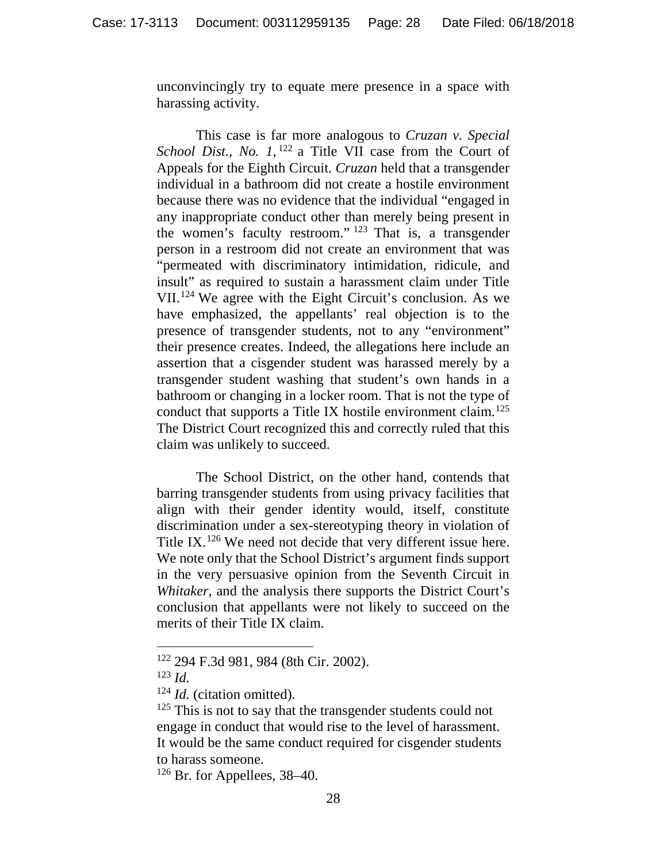unconvincingly try to equate mere presence in a space with harassing activity.

This case is far more analogous to *Cruzan v. Special School Dist., No. 1,* <sup>[122](#page-27-0)</sup> a Title VII case from the Court of Appeals for the Eighth Circuit. *Cruzan* held that a transgender individual in a bathroom did not create a hostile environment because there was no evidence that the individual "engaged in any inappropriate conduct other than merely being present in the women's faculty restroom." [123](#page-27-1) That is, a transgender person in a restroom did not create an environment that was "permeated with discriminatory intimidation, ridicule, and insult" as required to sustain a harassment claim under Title VII.[124](#page-27-2) We agree with the Eight Circuit's conclusion. As we have emphasized, the appellants' real objection is to the presence of transgender students, not to any "environment" their presence creates. Indeed, the allegations here include an assertion that a cisgender student was harassed merely by a transgender student washing that student's own hands in a bathroom or changing in a locker room. That is not the type of conduct that supports a Title IX hostile environment claim. [125](#page-27-3) The District Court recognized this and correctly ruled that this claim was unlikely to succeed.

The School District, on the other hand, contends that barring transgender students from using privacy facilities that align with their gender identity would, itself, constitute discrimination under a sex-stereotyping theory in violation of Title IX.<sup>[126](#page-27-4)</sup> We need not decide that very different issue here. We note only that the School District's argument finds support in the very persuasive opinion from the Seventh Circuit in *Whitaker,* and the analysis there supports the District Court's conclusion that appellants were not likely to succeed on the merits of their Title IX claim.

<span id="page-27-1"></span><span id="page-27-0"></span> <sup>122</sup> 294 F.3d 981, 984 (8th Cir. 2002).

<sup>123</sup> *Id.*

<span id="page-27-2"></span><sup>124</sup> *Id.* (citation omitted).

<span id="page-27-3"></span> $125$  This is not to say that the transgender students could not engage in conduct that would rise to the level of harassment. It would be the same conduct required for cisgender students to harass someone.

<span id="page-27-4"></span><sup>126</sup> Br. for Appellees, 38–40.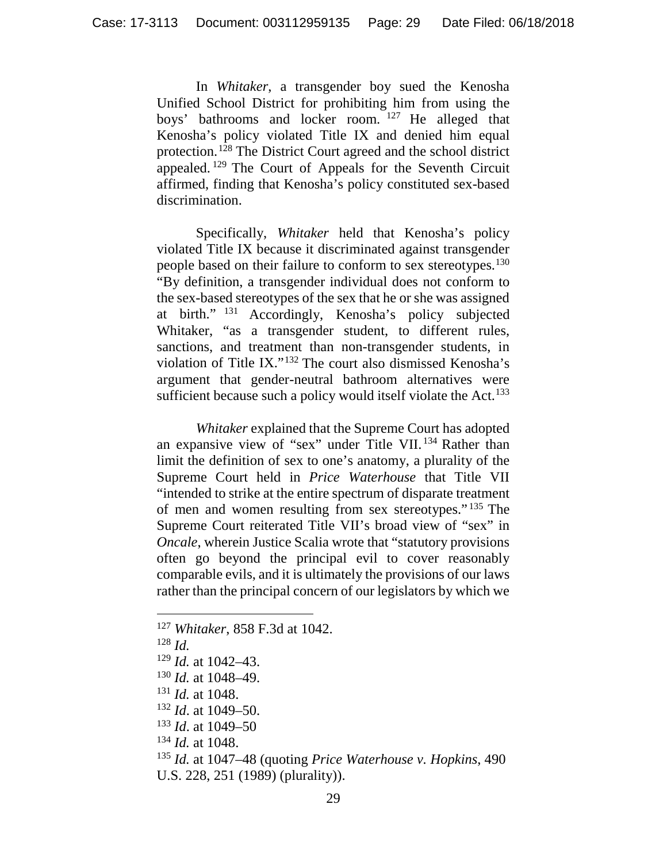In *Whitaker*, a transgender boy sued the Kenosha Unified School District for prohibiting him from using the boys' bathrooms and locker room. [127](#page-28-0) He alleged that Kenosha's policy violated Title IX and denied him equal protection. [128](#page-28-1) The District Court agreed and the school district appealed. [129](#page-28-2) The Court of Appeals for the Seventh Circuit affirmed, finding that Kenosha's policy constituted sex-based discrimination.

Specifically, *Whitaker* held that Kenosha's policy violated Title IX because it discriminated against transgender people based on their failure to conform to sex stereotypes.<sup>[130](#page-28-3)</sup> "By definition, a transgender individual does not conform to the sex-based stereotypes of the sex that he or she was assigned at birth." [131](#page-28-4) Accordingly, Kenosha's policy subjected Whitaker, "as a transgender student, to different rules, sanctions, and treatment than non-transgender students, in violation of Title IX."[132](#page-28-5) The court also dismissed Kenosha's argument that gender-neutral bathroom alternatives were sufficient because such a policy would itself violate the Act.<sup>[133](#page-28-6)</sup>

*Whitaker* explained that the Supreme Court has adopted an expansive view of "sex" under Title VII. [134](#page-28-7) Rather than limit the definition of sex to one's anatomy, a plurality of the Supreme Court held in *Price Waterhouse* that Title VII "intended to strike at the entire spectrum of disparate treatment of men and women resulting from sex stereotypes." [135](#page-28-8) The Supreme Court reiterated Title VII's broad view of "sex" in *Oncale*, wherein Justice Scalia wrote that "statutory provisions often go beyond the principal evil to cover reasonably comparable evils, and it is ultimately the provisions of our laws rather than the principal concern of our legislators by which we

<span id="page-28-4"></span><sup>131</sup> *Id.* at 1048.

- <span id="page-28-6"></span><sup>133</sup> *Id*. at 1049–50
- <span id="page-28-7"></span><sup>134</sup> *Id.* at 1048.
- <span id="page-28-8"></span><sup>135</sup> *Id.* at 1047–48 (quoting *Price Waterhouse v. Hopkins*, 490 U.S. 228, 251 (1989) (plurality)).

<span id="page-28-0"></span> <sup>127</sup> *Whitaker*, 858 F.3d at 1042.

<span id="page-28-1"></span><sup>128</sup> *Id.*

<span id="page-28-2"></span><sup>129</sup> *Id.* at 1042–43.

<span id="page-28-3"></span><sup>130</sup> *Id.* at 1048–49.

<span id="page-28-5"></span><sup>132</sup> *Id*. at 1049–50.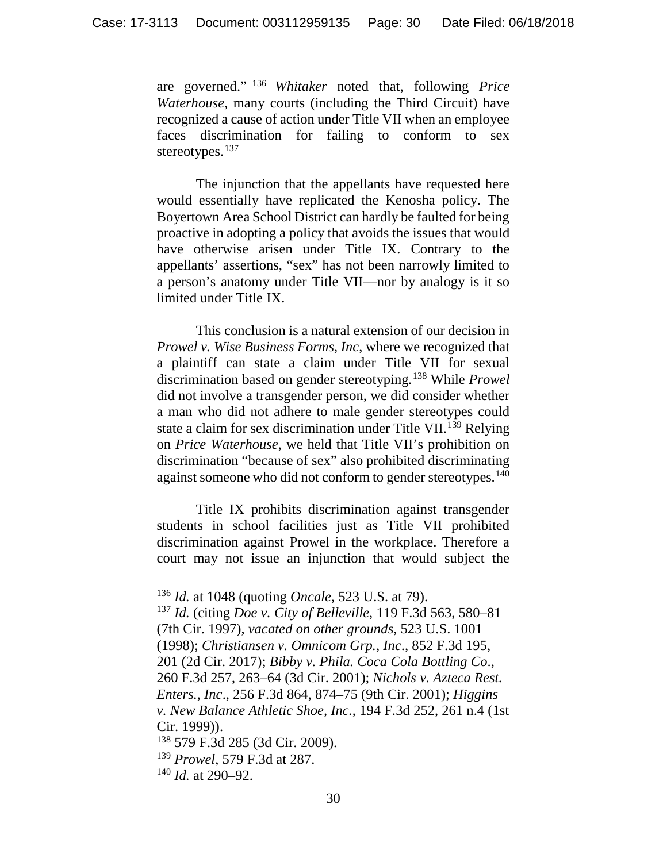are governed." [136](#page-29-0) *Whitaker* noted that, following *Price Waterhouse*, many courts (including the Third Circuit) have recognized a cause of action under Title VII when an employee faces discrimination for failing to conform to sex stereotypes.<sup>[137](#page-29-1)</sup>

The injunction that the appellants have requested here would essentially have replicated the Kenosha policy. The Boyertown Area School District can hardly be faulted for being proactive in adopting a policy that avoids the issues that would have otherwise arisen under Title IX. Contrary to the appellants' assertions, "sex" has not been narrowly limited to a person's anatomy under Title VII—nor by analogy is it so limited under Title IX.

This conclusion is a natural extension of our decision in *Prowel v. Wise Business Forms, Inc*, where we recognized that a plaintiff can state a claim under Title VII for sexual discrimination based on gender stereotyping*.* [138](#page-29-2) While *Prowel* did not involve a transgender person, we did consider whether a man who did not adhere to male gender stereotypes could state a claim for sex discrimination under Title VII.<sup>[139](#page-29-3)</sup> Relying on *Price Waterhouse*, we held that Title VII's prohibition on discrimination "because of sex" also prohibited discriminating against someone who did not conform to gender stereotypes.<sup>[140](#page-29-4)</sup>

Title IX prohibits discrimination against transgender students in school facilities just as Title VII prohibited discrimination against Prowel in the workplace. Therefore a court may not issue an injunction that would subject the

 <sup>136</sup> *Id.* at 1048 (quoting *Oncale*, 523 U.S. at 79).

<span id="page-29-1"></span><span id="page-29-0"></span><sup>137</sup> *Id.* (citing *Doe v. City of Belleville*, 119 F.3d 563, 580–81 (7th Cir. 1997), *vacated on other grounds*, 523 U.S. 1001 (1998); *Christiansen v. Omnicom Grp., Inc*., 852 F.3d 195, 201 (2d Cir. 2017); *Bibby v. Phila. Coca Cola Bottling Co*., 260 F.3d 257, 263–64 (3d Cir. 2001); *Nichols v. Azteca Rest. Enters., Inc*., 256 F.3d 864, 874–75 (9th Cir. 2001); *Higgins v. New Balance Athletic Shoe, Inc.*, 194 F.3d 252, 261 n.4 (1st Cir. 1999)).

<span id="page-29-2"></span><sup>138</sup> 579 F.3d 285 (3d Cir. 2009).

<span id="page-29-3"></span><sup>139</sup> *Prowel*, 579 F.3d at 287.

<span id="page-29-4"></span><sup>140</sup> *Id.* at 290–92.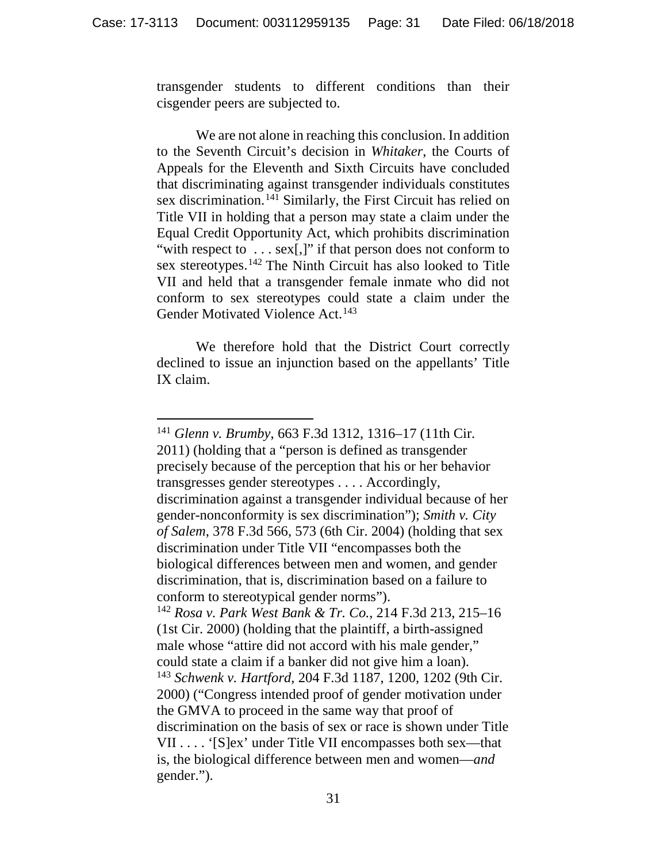transgender students to different conditions than their cisgender peers are subjected to.

We are not alone in reaching this conclusion. In addition to the Seventh Circuit's decision in *Whitaker*, the Courts of Appeals for the Eleventh and Sixth Circuits have concluded that discriminating against transgender individuals constitutes sex discrimination.<sup>[141](#page-30-0)</sup> Similarly, the First Circuit has relied on Title VII in holding that a person may state a claim under the Equal Credit Opportunity Act, which prohibits discrimination "with respect to ... sex[,]" if that person does not conform to sex stereotypes.[142](#page-30-1) The Ninth Circuit has also looked to Title VII and held that a transgender female inmate who did not conform to sex stereotypes could state a claim under the Gender Motivated Violence Act.<sup>[143](#page-30-2)</sup>

We therefore hold that the District Court correctly declined to issue an injunction based on the appellants' Title IX claim.

<span id="page-30-2"></span><span id="page-30-1"></span><span id="page-30-0"></span> <sup>141</sup> *Glenn v. Brumby*, 663 F.3d 1312, 1316–17 (11th Cir. 2011) (holding that a "person is defined as transgender precisely because of the perception that his or her behavior transgresses gender stereotypes . . . . Accordingly, discrimination against a transgender individual because of her gender-nonconformity is sex discrimination"); *Smith v. City of Salem*, 378 F.3d 566, 573 (6th Cir. 2004) (holding that sex discrimination under Title VII "encompasses both the biological differences between men and women, and gender discrimination, that is, discrimination based on a failure to conform to stereotypical gender norms"). <sup>142</sup> *Rosa v. Park West Bank & Tr. Co.*, 214 F.3d 213, 215–16 (1st Cir. 2000) (holding that the plaintiff, a birth-assigned male whose "attire did not accord with his male gender," could state a claim if a banker did not give him a loan). <sup>143</sup> *Schwenk v. Hartford*, 204 F.3d 1187, 1200, 1202 (9th Cir. 2000) ("Congress intended proof of gender motivation under the GMVA to proceed in the same way that proof of discrimination on the basis of sex or race is shown under Title VII . . . . '[S]ex' under Title VII encompasses both sex—that is, the biological difference between men and women—*and* gender.").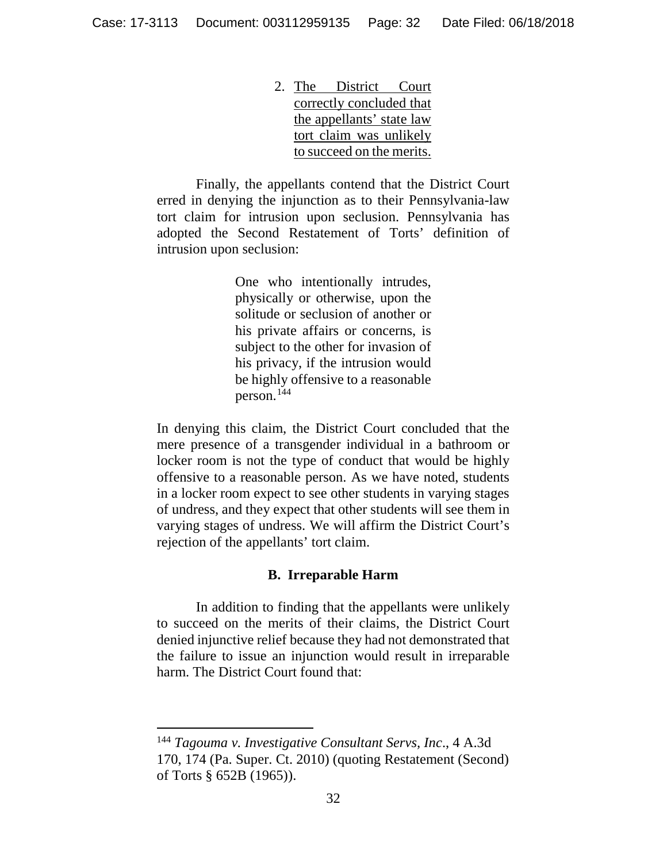2. The District Court correctly concluded that the appellants' state law tort claim was unlikely to succeed on the merits.

Finally, the appellants contend that the District Court erred in denying the injunction as to their Pennsylvania-law tort claim for intrusion upon seclusion. Pennsylvania has adopted the Second Restatement of Torts' definition of intrusion upon seclusion:

> One who intentionally intrudes, physically or otherwise, upon the solitude or seclusion of another or his private affairs or concerns, is subject to the other for invasion of his privacy, if the intrusion would be highly offensive to a reasonable person.<sup>[144](#page-31-0)</sup>

In denying this claim, the District Court concluded that the mere presence of a transgender individual in a bathroom or locker room is not the type of conduct that would be highly offensive to a reasonable person. As we have noted, students in a locker room expect to see other students in varying stages of undress, and they expect that other students will see them in varying stages of undress. We will affirm the District Court's rejection of the appellants' tort claim.

#### **B. Irreparable Harm**

In addition to finding that the appellants were unlikely to succeed on the merits of their claims, the District Court denied injunctive relief because they had not demonstrated that the failure to issue an injunction would result in irreparable harm. The District Court found that:

<span id="page-31-0"></span> <sup>144</sup> *Tagouma v. Investigative Consultant Servs, Inc*., 4 A.3d 170, 174 (Pa. Super. Ct. 2010) (quoting Restatement (Second) of Torts § 652B (1965)).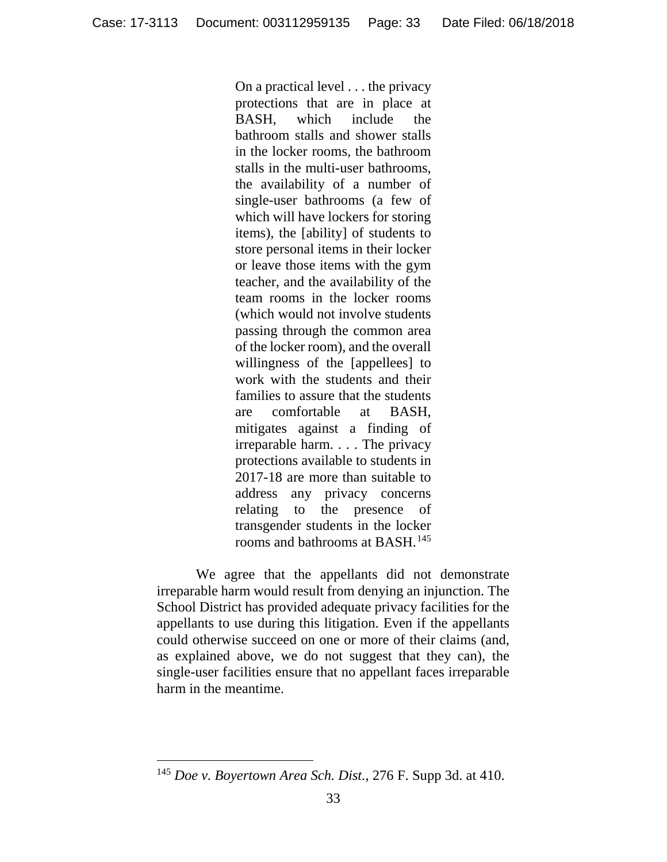On a practical level . . . the privacy protections that are in place at BASH, which include the bathroom stalls and shower stalls in the locker rooms, the bathroom stalls in the multi-user bathrooms, the availability of a number of single-user bathrooms (a few of which will have lockers for storing items), the [ability] of students to store personal items in their locker or leave those items with the gym teacher, and the availability of the team rooms in the locker rooms (which would not involve students passing through the common area of the locker room), and the overall willingness of the [appellees] to work with the students and their families to assure that the students are comfortable at BASH, mitigates against a finding of irreparable harm. . . . The privacy protections available to students in 2017-18 are more than suitable to address any privacy concerns relating to the presence of transgender students in the locker rooms and bathrooms at BASH.<sup>[145](#page-32-0)</sup>

We agree that the appellants did not demonstrate irreparable harm would result from denying an injunction. The School District has provided adequate privacy facilities for the appellants to use during this litigation. Even if the appellants could otherwise succeed on one or more of their claims (and, as explained above, we do not suggest that they can), the single-user facilities ensure that no appellant faces irreparable harm in the meantime.

<span id="page-32-0"></span> <sup>145</sup> *Doe v. Boyertown Area Sch. Dist.*, 276 F. Supp 3d. at 410.